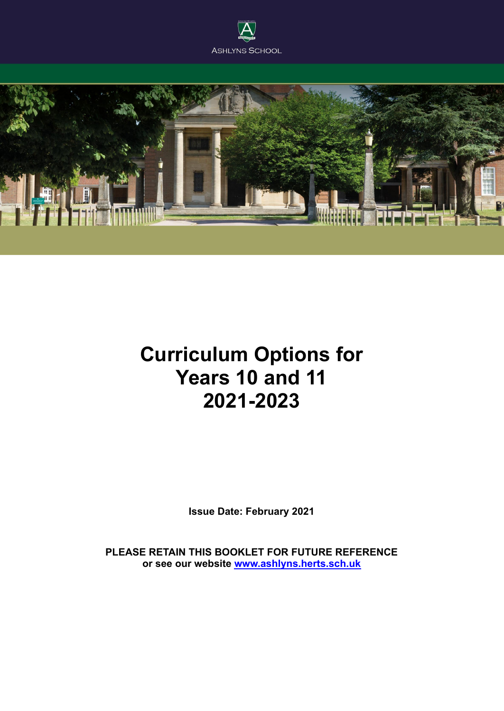



# **Curriculum Options for Years 10 and 11 2021-2023**

**Issue Date: February 2021**

**PLEASE RETAIN THIS BOOKLET FOR FUTURE REFERENCE or see our website [www.ashlyns.herts.sch.uk](http://www.ashlyns.herts.sch.uk)**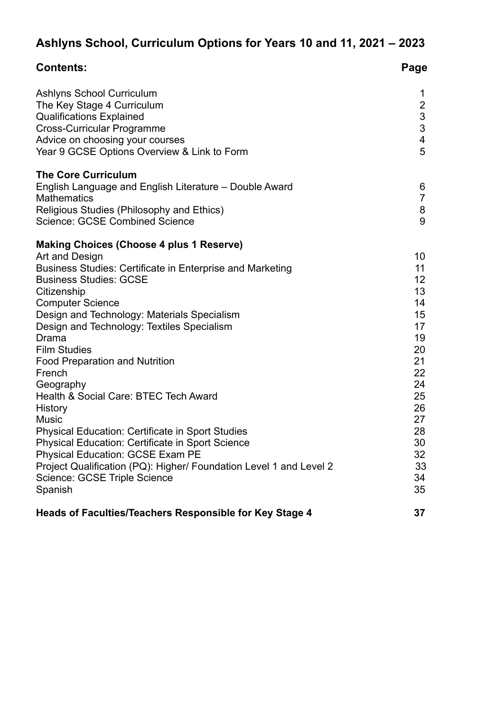# **Ashlyns School, Curriculum Options for Years 10 and 11, 2021 – 2023**

| <b>Contents:</b>                                                                                                                                                                                                                                                                                                                                                                                                                                                                                                                                                                                                                                                                                                                                      | Page                                                                                                                       |
|-------------------------------------------------------------------------------------------------------------------------------------------------------------------------------------------------------------------------------------------------------------------------------------------------------------------------------------------------------------------------------------------------------------------------------------------------------------------------------------------------------------------------------------------------------------------------------------------------------------------------------------------------------------------------------------------------------------------------------------------------------|----------------------------------------------------------------------------------------------------------------------------|
| Ashlyns School Curriculum<br>The Key Stage 4 Curriculum<br><b>Qualifications Explained</b><br><b>Cross-Curricular Programme</b><br>Advice on choosing your courses<br>Year 9 GCSE Options Overview & Link to Form                                                                                                                                                                                                                                                                                                                                                                                                                                                                                                                                     | 1<br>$\overline{c}$<br>3<br>3<br>$\overline{\mathbf{4}}$<br>5                                                              |
| <b>The Core Curriculum</b><br>English Language and English Literature – Double Award<br><b>Mathematics</b><br>Religious Studies (Philosophy and Ethics)<br><b>Science: GCSE Combined Science</b>                                                                                                                                                                                                                                                                                                                                                                                                                                                                                                                                                      | 6<br>$\overline{7}$<br>8<br>9                                                                                              |
| <b>Making Choices (Choose 4 plus 1 Reserve)</b><br>Art and Design<br>Business Studies: Certificate in Enterprise and Marketing<br><b>Business Studies: GCSE</b><br>Citizenship<br><b>Computer Science</b><br>Design and Technology: Materials Specialism<br>Design and Technology: Textiles Specialism<br>Drama<br><b>Film Studies</b><br><b>Food Preparation and Nutrition</b><br>French<br>Geography<br>Health & Social Care: BTEC Tech Award<br>History<br><b>Music</b><br><b>Physical Education: Certificate in Sport Studies</b><br><b>Physical Education: Certificate in Sport Science</b><br>Physical Education: GCSE Exam PE<br>Project Qualification (PQ): Higher/ Foundation Level 1 and Level 2<br>Science: GCSE Triple Science<br>Spanish | 10<br>11<br>12<br>13<br>14<br>15<br>17<br>19<br>20<br>21<br>22<br>24<br>25<br>26<br>27<br>28<br>30<br>32<br>33<br>34<br>35 |
| Heads of Faculties/Teachers Responsible for Key Stage 4                                                                                                                                                                                                                                                                                                                                                                                                                                                                                                                                                                                                                                                                                               | 37                                                                                                                         |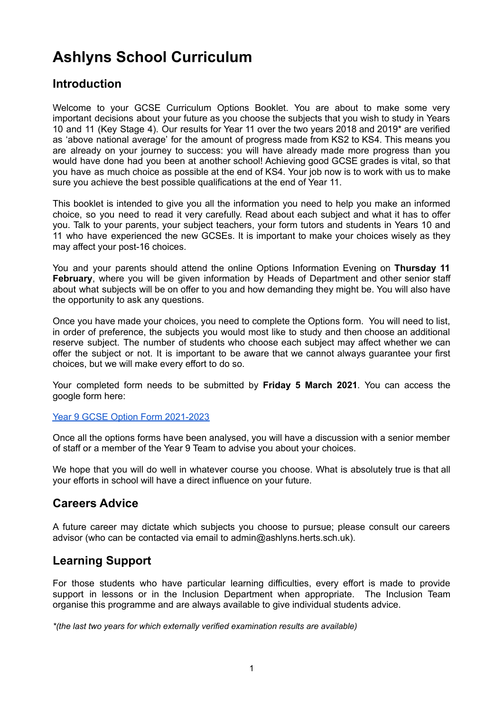# **Ashlyns School Curriculum**

### **Introduction**

Welcome to your GCSE Curriculum Options Booklet. You are about to make some very important decisions about your future as you choose the subjects that you wish to study in Years 10 and 11 (Key Stage 4). Our results for Year 11 over the two years 2018 and 2019\* are verified as 'above national average' for the amount of progress made from KS2 to KS4. This means you are already on your journey to success: you will have already made more progress than you would have done had you been at another school! Achieving good GCSE grades is vital, so that you have as much choice as possible at the end of KS4. Your job now is to work with us to make sure you achieve the best possible qualifications at the end of Year 11.

This booklet is intended to give you all the information you need to help you make an informed choice, so you need to read it very carefully. Read about each subject and what it has to offer you. Talk to your parents, your subject teachers, your form tutors and students in Years 10 and 11 who have experienced the new GCSEs. It is important to make your choices wisely as they may affect your post-16 choices.

You and your parents should attend the online Options Information Evening on **Thursday 11 February**, where you will be given information by Heads of Department and other senior staff about what subjects will be on offer to you and how demanding they might be. You will also have the opportunity to ask any questions.

Once you have made your choices, you need to complete the Options form. You will need to list, in order of preference, the subjects you would most like to study and then choose an additional reserve subject. The number of students who choose each subject may affect whether we can offer the subject or not. It is important to be aware that we cannot always guarantee your first choices, but we will make every effort to do so.

Your completed form needs to be submitted by **Friday 5 March 2021***.* You can access the google form here:

### Year 9 GCSE Option Form [2021-2023](https://forms.gle/7yCrFUSzbPQQkThd8)

Once all the options forms have been analysed, you will have a discussion with a senior member of staff or a member of the Year 9 Team to advise you about your choices.

We hope that you will do well in whatever course you choose. What is absolutely true is that all your efforts in school will have a direct influence on your future.

### **Careers Advice**

A future career may dictate which subjects you choose to pursue; please consult our careers advisor (who can be contacted via email to admin@ashlyns.herts.sch.uk).

### **Learning Support**

For those students who have particular learning difficulties, every effort is made to provide support in lessons or in the Inclusion Department when appropriate. The Inclusion Team organise this programme and are always available to give individual students advice.

*\*(the last two years for which externally verified examination results are available)*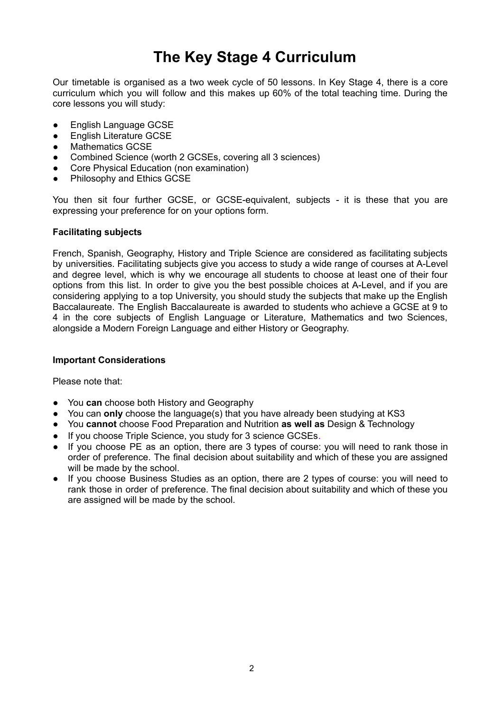# **The Key Stage 4 Curriculum**

Our timetable is organised as a two week cycle of 50 lessons. In Key Stage 4, there is a core curriculum which you will follow and this makes up 60% of the total teaching time. During the core lessons you will study:

- **English Language GCSE**
- **•** English Literature GCSE
- Mathematics GCSE
- Combined Science (worth 2 GCSEs, covering all 3 sciences)
- Core Physical Education (non examination)
- Philosophy and Ethics GCSE

You then sit four further GCSE, or GCSE-equivalent, subjects - it is these that you are expressing your preference for on your options form.

### **Facilitating subjects**

French, Spanish, Geography, History and Triple Science are considered as facilitating subjects by universities. Facilitating subjects give you access to study a wide range of courses at A-Level and degree level, which is why we encourage all students to choose at least one of their four options from this list. In order to give you the best possible choices at A-Level, and if you are considering applying to a top University, you should study the subjects that make up the English Baccalaureate. The English Baccalaureate is awarded to students who achieve a GCSE at 9 to 4 in the core subjects of English Language or Literature, Mathematics and two Sciences, alongside a Modern Foreign Language and either History or Geography.

### **Important Considerations**

Please note that:

- You **can** choose both History and Geography
- You can **only** choose the language(s) that you have already been studying at KS3
- You **cannot** choose Food Preparation and Nutrition **as well as** Design & Technology
- If you choose Triple Science, you study for 3 science GCSEs.
- If you choose PE as an option, there are 3 types of course: you will need to rank those in order of preference. The final decision about suitability and which of these you are assigned will be made by the school.
- If you choose Business Studies as an option, there are 2 types of course: you will need to rank those in order of preference. The final decision about suitability and which of these you are assigned will be made by the school.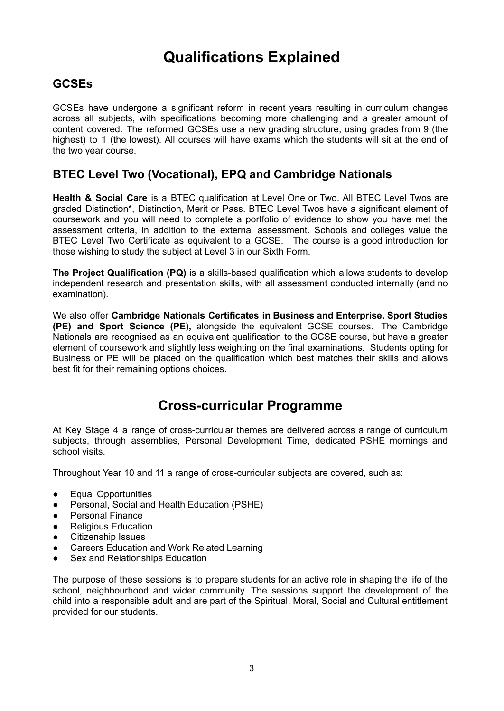# **Qualifications Explained**

### **GCSEs**

GCSEs have undergone a significant reform in recent years resulting in curriculum changes across all subjects, with specifications becoming more challenging and a greater amount of content covered. The reformed GCSEs use a new grading structure, using grades from 9 (the highest) to 1 (the lowest). All courses will have exams which the students will sit at the end of the two year course.

### **BTEC Level Two (Vocational), EPQ and Cambridge Nationals**

**Health & Social Care** is a BTEC qualification at Level One or Two. All BTEC Level Twos are graded Distinction\*, Distinction, Merit or Pass. BTEC Level Twos have a significant element of coursework and you will need to complete a portfolio of evidence to show you have met the assessment criteria, in addition to the external assessment. Schools and colleges value the BTEC Level Two Certificate as equivalent to a GCSE. The course is a good introduction for those wishing to study the subject at Level 3 in our Sixth Form.

**The Project Qualification (PQ)** is a skills-based qualification which allows students to develop independent research and presentation skills, with all assessment conducted internally (and no examination).

We also offer **Cambridge Nationals Certificates in Business and Enterprise, Sport Studies (PE) and Sport Science (PE),** alongside the equivalent GCSE courses. The Cambridge Nationals are recognised as an equivalent qualification to the GCSE course, but have a greater element of coursework and slightly less weighting on the final examinations. Students opting for Business or PE will be placed on the qualification which best matches their skills and allows best fit for their remaining options choices.

### **Cross-curricular Programme**

At Key Stage 4 a range of cross-curricular themes are delivered across a range of curriculum subjects, through assemblies, Personal Development Time, dedicated PSHE mornings and school visits.

Throughout Year 10 and 11 a range of cross-curricular subjects are covered, such as:

- Equal Opportunities
- Personal, Social and Health Education (PSHE)
- Personal Finance
- Religious Education<br>● Citizenshin Issues
- Citizenship Issues
- Careers Education and Work Related Learning
- Sex and Relationships Education

The purpose of these sessions is to prepare students for an active role in shaping the life of the school, neighbourhood and wider community. The sessions support the development of the child into a responsible adult and are part of the Spiritual, Moral, Social and Cultural entitlement provided for our students.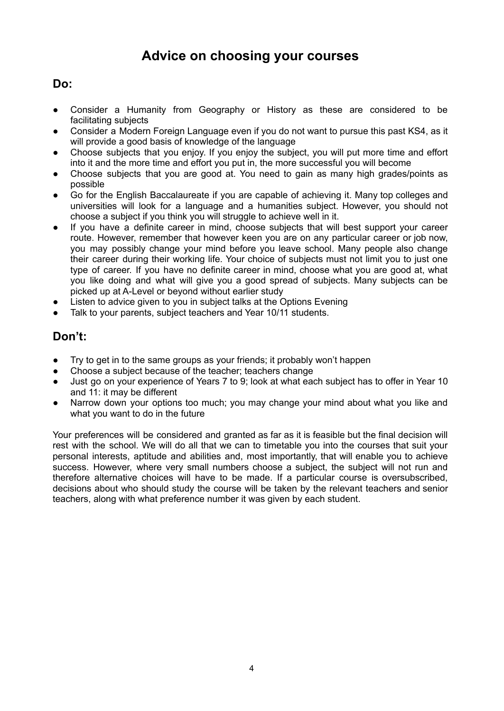## **Advice on choosing your courses**

### **Do:**

- Consider a Humanity from Geography or History as these are considered to be facilitating subjects
- Consider a Modern Foreign Language even if you do not want to pursue this past KS4, as it will provide a good basis of knowledge of the language
- Choose subjects that you enjoy. If you enjoy the subject, you will put more time and effort into it and the more time and effort you put in, the more successful you will become
- Choose subjects that you are good at. You need to gain as many high grades/points as possible
- Go for the English Baccalaureate if you are capable of achieving it. Many top colleges and universities will look for a language and a humanities subject. However, you should not choose a subject if you think you will struggle to achieve well in it.
- If you have a definite career in mind, choose subjects that will best support your career route. However, remember that however keen you are on any particular career or job now, you may possibly change your mind before you leave school. Many people also change their career during their working life. Your choice of subjects must not limit you to just one type of career. If you have no definite career in mind, choose what you are good at, what you like doing and what will give you a good spread of subjects. Many subjects can be picked up at A-Level or beyond without earlier study
- Listen to advice given to you in subject talks at the Options Evening
- Talk to your parents, subject teachers and Year 10/11 students.

### **Don't:**

- Try to get in to the same groups as your friends; it probably won't happen
- Choose a subject because of the teacher; teachers change
- Just go on your experience of Years 7 to 9; look at what each subject has to offer in Year 10 and 11: it may be different
- Narrow down your options too much; you may change your mind about what you like and what you want to do in the future

Your preferences will be considered and granted as far as it is feasible but the final decision will rest with the school. We will do all that we can to timetable you into the courses that suit your personal interests, aptitude and abilities and, most importantly, that will enable you to achieve success. However, where very small numbers choose a subject, the subject will not run and therefore alternative choices will have to be made. If a particular course is oversubscribed, decisions about who should study the course will be taken by the relevant teachers and senior teachers, along with what preference number it was given by each student.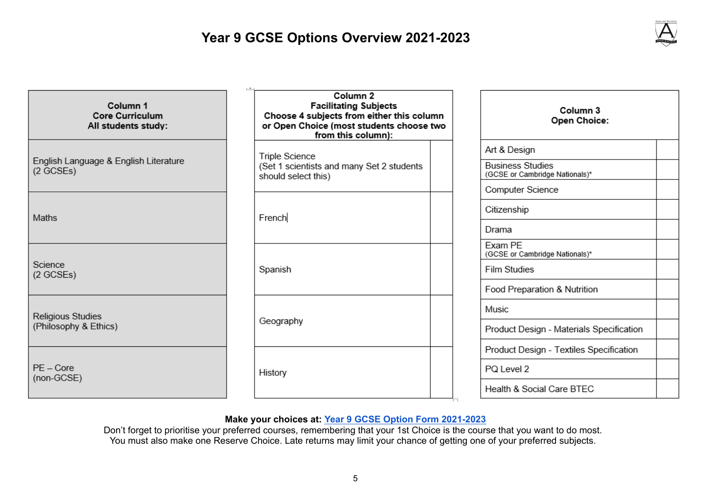## **Year 9 GCSE Options Overview 2021-2023**



| Column 1<br><b>Core Curriculum</b><br>All students study: | Column 2<br><b>Facilitating Subjects</b><br>Choose 4 subjects from either this column<br>or Open Choice (most students choose two<br>from this column): | Column 3<br><b>Open Choice:</b>                                                                  |
|-----------------------------------------------------------|---------------------------------------------------------------------------------------------------------------------------------------------------------|--------------------------------------------------------------------------------------------------|
| English Language & English Literature<br>(2 GCSEs)        | Triple Science<br>(Set 1 scientists and many Set 2 students<br>should select this)                                                                      | Art & Design<br><b>Business Studies</b><br>(GCSE or Cambridge Nationals)*                        |
| Maths                                                     | French                                                                                                                                                  | Computer Science<br>Citizenship<br>Drama                                                         |
| Science<br>(2 GCSEs)                                      | Spanish                                                                                                                                                 | Exam PE<br>(GCSE or Cambridge Nationals)*<br><b>Film Studies</b><br>Food Preparation & Nutrition |
| Religious Studies<br>(Philosophy & Ethics)                | Geography                                                                                                                                               | Music<br>Product Design - Materials Specification<br>Product Design - Textiles Specification     |
| $PE - Core$<br>(non-GCSE)                                 | History                                                                                                                                                 |                                                                                                  |

### **Make your choices at: Year 9 GCSE Option Form [2021-2023](https://forms.gle/7yCrFUSzbPQQkThd8)**

Don't forget to prioritise your preferred courses, remembering that your 1st Choice is the course that you want to do most. You must also make one Reserve Choice. Late returns may limit your chance of getting one of your preferred subjects.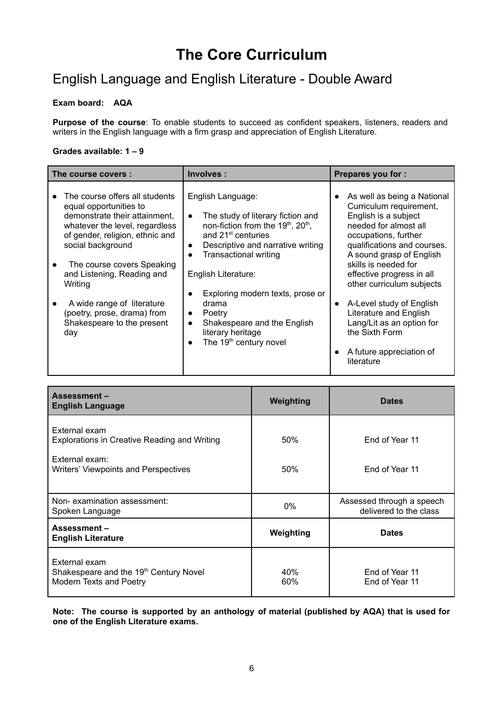# **The Core Curriculum**

## English Language and English Literature - Double Award

### **Exam board: AQA**

**Purpose of the course**: To enable students to succeed as confident speakers, listeners, readers and writers in the English language with a firm grasp and appreciation of English Literature.

#### **Grades available: 1 – 9**

| The course covers :                                                                                                                                                                                                                                                                                                                                          | Involves:                                                                                                                                                                                                                                                                                                                                                                                                                                                            | <b>Prepares you for:</b>                                                                                                                                                                                                                                                                                                                                                                                                    |
|--------------------------------------------------------------------------------------------------------------------------------------------------------------------------------------------------------------------------------------------------------------------------------------------------------------------------------------------------------------|----------------------------------------------------------------------------------------------------------------------------------------------------------------------------------------------------------------------------------------------------------------------------------------------------------------------------------------------------------------------------------------------------------------------------------------------------------------------|-----------------------------------------------------------------------------------------------------------------------------------------------------------------------------------------------------------------------------------------------------------------------------------------------------------------------------------------------------------------------------------------------------------------------------|
| The course offers all students<br>equal opportunities to<br>demonstrate their attainment,<br>whatever the level, regardless<br>of gender, religion, ethnic and<br>social background<br>The course covers Speaking<br>and Listening, Reading and<br>Writing<br>A wide range of literature<br>(poetry, prose, drama) from<br>Shakespeare to the present<br>day | English Language:<br>The study of literary fiction and<br>$\bullet$<br>non-fiction from the 19 <sup>th</sup> , 20 <sup>th</sup> ,<br>and 21 <sup>st</sup> centuries<br>Descriptive and narrative writing<br>$\bullet$<br><b>Transactional writing</b><br>English Literature:<br>Exploring modern texts, prose or<br>drama<br>Poetry<br>$\bullet$<br>Shakespeare and the English<br>$\bullet$<br>literary heritage<br>The 19 <sup>th</sup> century novel<br>$\bullet$ | As well as being a National<br>Curriculum requirement,<br>English is a subject<br>needed for almost all<br>occupations, further<br>qualifications and courses.<br>A sound grasp of English<br>skills is needed for<br>effective progress in all<br>other curriculum subjects<br>A-Level study of English<br>Literature and English<br>Lang/Lit as an option for<br>the Sixth Form<br>A future appreciation of<br>literature |

| <b>Assessment-</b><br><b>English Language</b>                                      | Weighting  | <b>Dates</b>                                        |
|------------------------------------------------------------------------------------|------------|-----------------------------------------------------|
| External exam<br>Explorations in Creative Reading and Writing                      | 50%        | End of Year 11                                      |
| External exam:<br>Writers' Viewpoints and Perspectives                             | 50%        | End of Year 11                                      |
| Non-examination assessment:<br>Spoken Language                                     | $0\%$      | Assessed through a speech<br>delivered to the class |
| Assessment-<br><b>English Literature</b>                                           | Weighting  | <b>Dates</b>                                        |
| External exam<br>Shakespeare and the 19th Century Novel<br>Modern Texts and Poetry | 40%<br>60% | End of Year 11<br>End of Year 11                    |

**Note: The course is supported by an anthology of material (published by AQA) that is used for one of the English Literature exams.**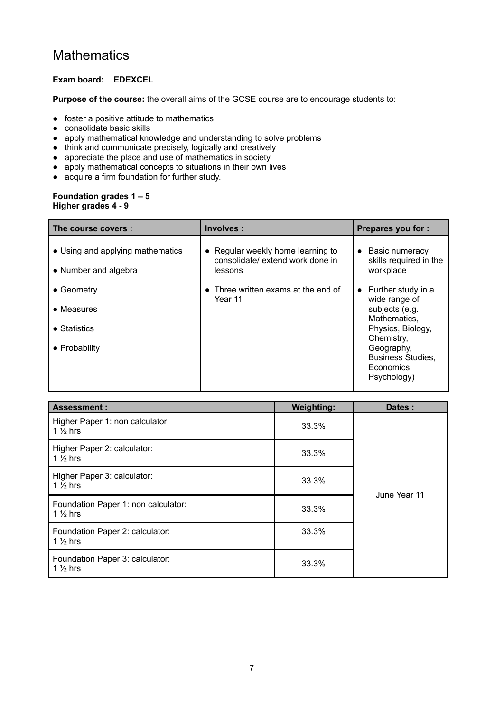### **Mathematics**

### **Exam board: EDEXCEL**

**Purpose of the course:** the overall aims of the GCSE course are to encourage students to:

- foster a positive attitude to mathematics
- consolidate basic skills
- apply mathematical knowledge and understanding to solve problems
- think and communicate precisely, logically and creatively
- appreciate the place and use of mathematics in society
- apply mathematical concepts to situations in their own lives
- acquire a firm foundation for further study.

#### **Foundation grades 1 – 5 Higher grades 4 - 9**

| The course covers:                                       | Involves :                                                                       | <b>Prepares you for:</b>                                                          |
|----------------------------------------------------------|----------------------------------------------------------------------------------|-----------------------------------------------------------------------------------|
| • Using and applying mathematics<br>• Number and algebra | • Regular weekly home learning to<br>consolidate/ extend work done in<br>lessons | Basic numeracy<br>skills required in the<br>workplace                             |
| • Geometry                                               | • Three written exams at the end of                                              | Further study in a                                                                |
| • Measures                                               | Year 11                                                                          | wide range of<br>subjects (e.g.                                                   |
| • Statistics                                             |                                                                                  | Mathematics,<br>Physics, Biology,                                                 |
| • Probability                                            |                                                                                  | Chemistry,<br>Geography,<br><b>Business Studies,</b><br>Economics,<br>Psychology) |

| <b>Assessment:</b>                                         | <b>Weighting:</b> | Dates:       |
|------------------------------------------------------------|-------------------|--------------|
| Higher Paper 1: non calculator:<br>1 $\frac{1}{2}$ hrs     | 33.3%             |              |
| Higher Paper 2: calculator:<br>1 $\frac{1}{2}$ hrs         | 33.3%             |              |
| Higher Paper 3: calculator:<br>1 $\frac{1}{2}$ hrs         | 33.3%             | June Year 11 |
| Foundation Paper 1: non calculator:<br>1 $\frac{1}{2}$ hrs | 33.3%             |              |
| Foundation Paper 2: calculator:<br>1 $\frac{1}{2}$ hrs     | 33.3%             |              |
| Foundation Paper 3: calculator:<br>$1\frac{1}{2}$ hrs      | 33.3%             |              |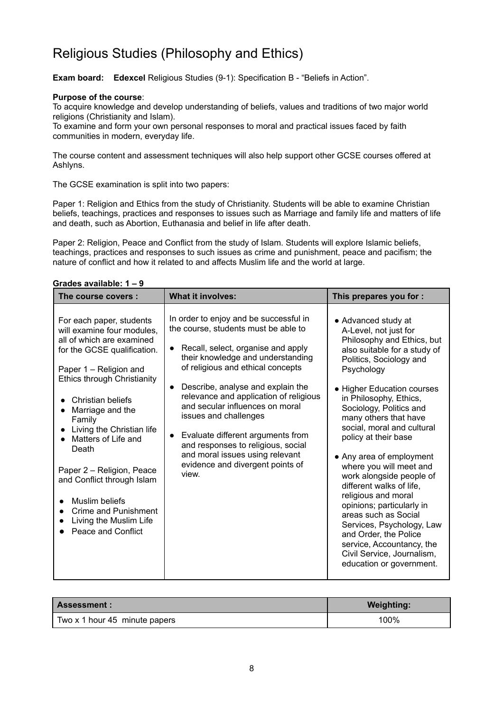## Religious Studies (Philosophy and Ethics)

**Exam board: Edexcel** Religious Studies (9-1): Specification B - "Beliefs in Action".

#### **Purpose of the course**:

To acquire knowledge and develop understanding of beliefs, values and traditions of two major world religions (Christianity and Islam).

To examine and form your own personal responses to moral and practical issues faced by faith communities in modern, everyday life.

The course content and assessment techniques will also help support other GCSE courses offered at Ashlyns.

The GCSE examination is split into two papers:

Paper 1: Religion and Ethics from the study of Christianity. Students will be able to examine Christian beliefs, teachings, practices and responses to issues such as Marriage and family life and matters of life and death, such as Abortion, Euthanasia and belief in life after death.

Paper 2: Religion, Peace and Conflict from the study of Islam. Students will explore Islamic beliefs, teachings, practices and responses to such issues as crime and punishment, peace and pacifism; the nature of conflict and how it related to and affects Muslim life and the world at large.

| Grades available: 1 – 9                                                                                                                                                                                                                                                                                                                                                                                                                                 |                                                                                                                                                                                                                                                                                                                                                                                                                                                                                                                                             |                                                                                                                                                                                                                                                                                                                                                                                                                                                                                                                                                                                                                                                               |  |
|---------------------------------------------------------------------------------------------------------------------------------------------------------------------------------------------------------------------------------------------------------------------------------------------------------------------------------------------------------------------------------------------------------------------------------------------------------|---------------------------------------------------------------------------------------------------------------------------------------------------------------------------------------------------------------------------------------------------------------------------------------------------------------------------------------------------------------------------------------------------------------------------------------------------------------------------------------------------------------------------------------------|---------------------------------------------------------------------------------------------------------------------------------------------------------------------------------------------------------------------------------------------------------------------------------------------------------------------------------------------------------------------------------------------------------------------------------------------------------------------------------------------------------------------------------------------------------------------------------------------------------------------------------------------------------------|--|
| The course covers:                                                                                                                                                                                                                                                                                                                                                                                                                                      | <b>What it involves:</b>                                                                                                                                                                                                                                                                                                                                                                                                                                                                                                                    | This prepares you for :                                                                                                                                                                                                                                                                                                                                                                                                                                                                                                                                                                                                                                       |  |
| For each paper, students<br>will examine four modules,<br>all of which are examined<br>for the GCSE qualification.<br>Paper 1 - Religion and<br><b>Ethics through Christianity</b><br>Christian beliefs<br>Marriage and the<br>Family<br>Living the Christian life<br>Matters of Life and<br>Death<br>Paper 2 - Religion, Peace<br>and Conflict through Islam<br>Muslim beliefs<br>Crime and Punishment<br>Living the Muslim Life<br>Peace and Conflict | In order to enjoy and be successful in<br>the course, students must be able to<br>Recall, select, organise and apply<br>$\bullet$<br>their knowledge and understanding<br>of religious and ethical concepts<br>Describe, analyse and explain the<br>$\bullet$<br>relevance and application of religious<br>and secular influences on moral<br>issues and challenges<br>Evaluate different arguments from<br>$\bullet$<br>and responses to religious, social<br>and moral issues using relevant<br>evidence and divergent points of<br>view. | • Advanced study at<br>A-Level, not just for<br>Philosophy and Ethics, but<br>also suitable for a study of<br>Politics, Sociology and<br>Psychology<br>• Higher Education courses<br>in Philosophy, Ethics,<br>Sociology, Politics and<br>many others that have<br>social, moral and cultural<br>policy at their base<br>• Any area of employment<br>where you will meet and<br>work alongside people of<br>different walks of life,<br>religious and moral<br>opinions; particularly in<br>areas such as Social<br>Services, Psychology, Law<br>and Order, the Police<br>service, Accountancy, the<br>Civil Service, Journalism,<br>education or government. |  |

| Assessment :                  | <b>Weighting:</b> |
|-------------------------------|-------------------|
| Two x 1 hour 45 minute papers | 100%              |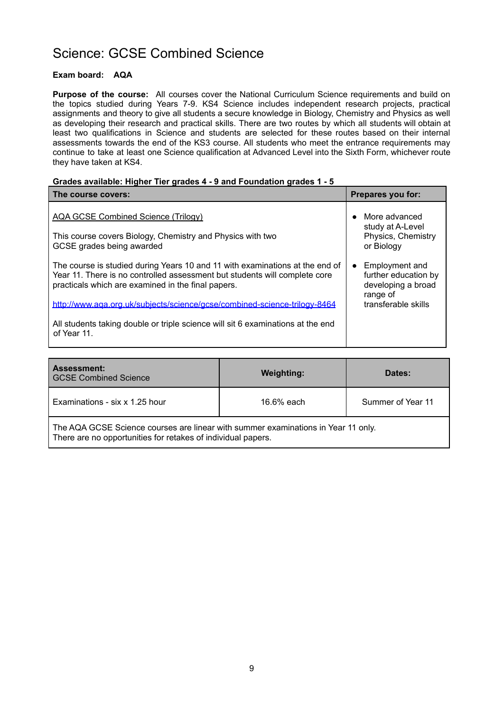### Science: GCSE Combined Science

### **Exam board: AQA**

**Purpose of the course:** All courses cover the National Curriculum Science requirements and build on the topics studied during Years 7-9. KS4 Science includes independent research projects, practical assignments and theory to give all students a secure knowledge in Biology, Chemistry and Physics as well as developing their research and practical skills. There are two routes by which all students will obtain at least two qualifications in Science and students are selected for these routes based on their internal assessments towards the end of the KS3 course. All students who meet the entrance requirements may continue to take at least one Science qualification at Advanced Level into the Sixth Form, whichever route they have taken at KS4.

#### **Grades available: Higher Tier grades 4 - 9 and Foundation grades 1 - 5**

| The course covers:                                                                                                                                                                                               | Prepares you for:                                                                     |
|------------------------------------------------------------------------------------------------------------------------------------------------------------------------------------------------------------------|---------------------------------------------------------------------------------------|
| AQA GCSE Combined Science (Trilogy)<br>This course covers Biology, Chemistry and Physics with two<br>GCSE grades being awarded                                                                                   | More advanced<br>$\bullet$<br>study at A-Level<br>Physics, Chemistry<br>or Biology    |
| The course is studied during Years 10 and 11 with examinations at the end of<br>Year 11. There is no controlled assessment but students will complete core<br>practicals which are examined in the final papers. | Employment and<br>$\bullet$<br>further education by<br>developing a broad<br>range of |
| http://www.aga.org.uk/subjects/science/gcse/combined-science-trilogy-8464                                                                                                                                        | transferable skills                                                                   |
| All students taking double or triple science will sit 6 examinations at the end<br>of Year 11.                                                                                                                   |                                                                                       |

| <b>Assessment:</b><br><b>GCSE Combined Science</b>                                                                                                | <b>Weighting:</b> | Dates:            |
|---------------------------------------------------------------------------------------------------------------------------------------------------|-------------------|-------------------|
| Examinations - six x 1.25 hour                                                                                                                    | 16.6% each        | Summer of Year 11 |
| The AQA GCSE Science courses are linear with summer examinations in Year 11 only.<br>There are no opportunities for retakes of individual papers. |                   |                   |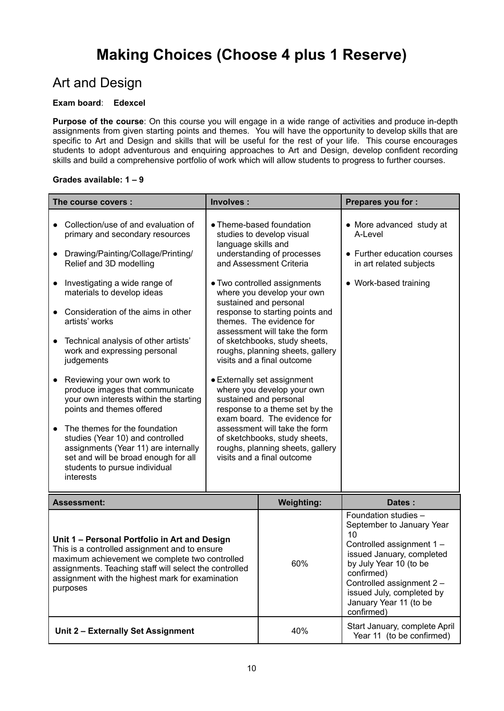### Art and Design

### **Exam board**: **Edexcel**

**Purpose of the course**: On this course you will engage in a wide range of activities and produce in-depth assignments from given starting points and themes. You will have the opportunity to develop skills that are specific to Art and Design and skills that will be useful for the rest of your life. This course encourages students to adopt adventurous and enquiring approaches to Art and Design, develop confident recording skills and build a comprehensive portfolio of work which will allow students to progress to further courses.

### **Grades available: 1 – 9**

| The course covers :                                                                                                                                                                             | Involves:                                                                                                                                             | <b>Prepares you for:</b>                                                                      |
|-------------------------------------------------------------------------------------------------------------------------------------------------------------------------------------------------|-------------------------------------------------------------------------------------------------------------------------------------------------------|-----------------------------------------------------------------------------------------------|
| Collection/use of and evaluation of<br>primary and secondary resources<br>Drawing/Painting/Collage/Printing/<br>Relief and 3D modelling                                                         | • Theme-based foundation<br>studies to develop visual<br>language skills and<br>understanding of processes<br>and Assessment Criteria                 | • More advanced study at<br>A-Level<br>• Further education courses<br>in art related subjects |
| Investigating a wide range of<br>materials to develop ideas                                                                                                                                     | • Two controlled assignments<br>where you develop your own<br>sustained and personal                                                                  | • Work-based training                                                                         |
| Consideration of the aims in other<br>artists' works                                                                                                                                            | response to starting points and<br>themes. The evidence for<br>assessment will take the form                                                          |                                                                                               |
| Technical analysis of other artists'<br>work and expressing personal<br>judgements                                                                                                              | of sketchbooks, study sheets,<br>roughs, planning sheets, gallery<br>visits and a final outcome                                                       |                                                                                               |
| Reviewing your own work to<br>produce images that communicate<br>your own interests within the starting<br>points and themes offered                                                            | • Externally set assignment<br>where you develop your own<br>sustained and personal<br>response to a theme set by the<br>exam board. The evidence for |                                                                                               |
| The themes for the foundation<br>studies (Year 10) and controlled<br>assignments (Year 11) are internally<br>set and will be broad enough for all<br>students to pursue individual<br>interests | assessment will take the form<br>of sketchbooks, study sheets,<br>roughs, planning sheets, gallery<br>visits and a final outcome                      |                                                                                               |

| <b>Assessment:</b>                                                                                                                                                                                                                                                         | <b>Weighting:</b> | Dates:                                                                                                                                                                                                                                                      |
|----------------------------------------------------------------------------------------------------------------------------------------------------------------------------------------------------------------------------------------------------------------------------|-------------------|-------------------------------------------------------------------------------------------------------------------------------------------------------------------------------------------------------------------------------------------------------------|
| Unit 1 - Personal Portfolio in Art and Design<br>This is a controlled assignment and to ensure<br>maximum achievement we complete two controlled<br>assignments. Teaching staff will select the controlled<br>assignment with the highest mark for examination<br>purposes | 60%               | Foundation studies -<br>September to January Year<br>10<br>Controlled assignment 1 -<br>issued January, completed<br>by July Year 10 (to be<br>confirmed)<br>Controlled assignment 2 -<br>issued July, completed by<br>January Year 11 (to be<br>confirmed) |
| Unit 2 - Externally Set Assignment                                                                                                                                                                                                                                         | 40%               | Start January, complete April<br>Year 11 (to be confirmed)                                                                                                                                                                                                  |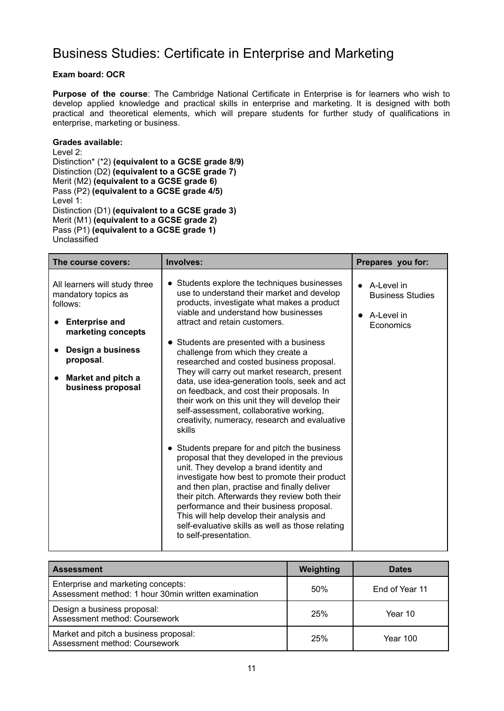### Business Studies: Certificate in Enterprise and Marketing

### **Exam board: OCR**

**Purpose of the course**: The Cambridge National Certificate in Enterprise is for learners who wish to develop applied knowledge and practical skills in enterprise and marketing. It is designed with both practical and theoretical elements, which will prepare students for further study of qualifications in enterprise, marketing or business.

#### **Grades available:**

Level 2: Distinction\* (\*2) **(equivalent to a GCSE grade 8/9)** Distinction (D2) **(equivalent to a GCSE grade 7)** Merit (M2) **(equivalent to a GCSE grade 6)** Pass (P2) **(equivalent to a GCSE grade 4/5)** Level 1: Distinction (D1) **(equivalent to a GCSE grade 3)** Merit (M1) **(equivalent to a GCSE grade 2)** Pass (P1) **(equivalent to a GCSE grade 1)** Unclassified

| The course covers:                                                                                                        | Involves:                                                                                                                                                                                                                                                                                                                                                                                                                                                        | Prepares you for:                                                          |
|---------------------------------------------------------------------------------------------------------------------------|------------------------------------------------------------------------------------------------------------------------------------------------------------------------------------------------------------------------------------------------------------------------------------------------------------------------------------------------------------------------------------------------------------------------------------------------------------------|----------------------------------------------------------------------------|
| All learners will study three<br>mandatory topics as<br>follows:<br><b>Enterprise and</b>                                 | • Students explore the techniques businesses<br>use to understand their market and develop<br>products, investigate what makes a product<br>viable and understand how businesses<br>attract and retain customers.                                                                                                                                                                                                                                                | $\bullet$ A-Level in<br><b>Business Studies</b><br>A-Level in<br>Economics |
| marketing concepts<br>Design a business<br>$\bullet$<br>proposal.<br>Market and pitch a<br>$\bullet$<br>business proposal | • Students are presented with a business<br>challenge from which they create a<br>researched and costed business proposal.<br>They will carry out market research, present<br>data, use idea-generation tools, seek and act<br>on feedback, and cost their proposals. In<br>their work on this unit they will develop their<br>self-assessment, collaborative working,<br>creativity, numeracy, research and evaluative<br>skills                                |                                                                            |
|                                                                                                                           | • Students prepare for and pitch the business<br>proposal that they developed in the previous<br>unit. They develop a brand identity and<br>investigate how best to promote their product<br>and then plan, practise and finally deliver<br>their pitch. Afterwards they review both their<br>performance and their business proposal.<br>This will help develop their analysis and<br>self-evaluative skills as well as those relating<br>to self-presentation. |                                                                            |

| <b>Assessment</b>                                                                         | Weighting | <b>Dates</b>    |
|-------------------------------------------------------------------------------------------|-----------|-----------------|
| Enterprise and marketing concepts:<br>Assessment method: 1 hour 30min written examination | 50%       | End of Year 11  |
| Design a business proposal:<br>Assessment method: Coursework                              | 25%       | Year 10         |
| Market and pitch a business proposal:<br>Assessment method: Coursework                    | 25%       | <b>Year 100</b> |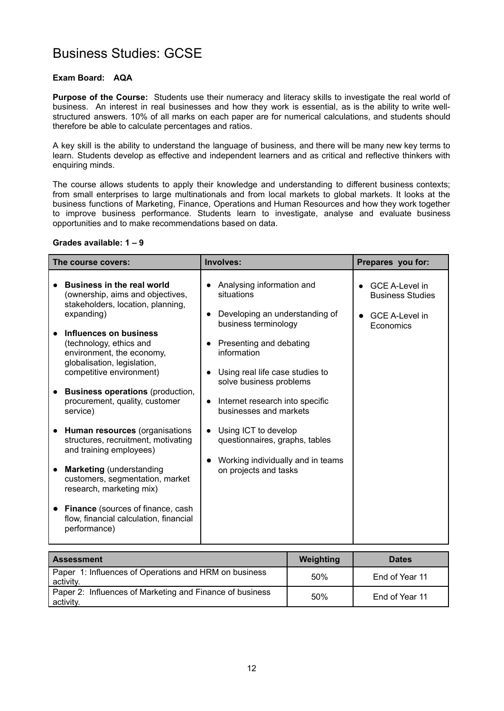### Business Studies: GCSE

### **Exam Board: AQA**

**Purpose of the Course:** Students use their numeracy and literacy skills to investigate the real world of business. An interest in real businesses and how they work is essential, as is the ability to write wellstructured answers. 10% of all marks on each paper are for numerical calculations, and students should therefore be able to calculate percentages and ratios.

A key skill is the ability to understand the language of business, and there will be many new key terms to learn. Students develop as effective and independent learners and as critical and reflective thinkers with enquiring minds.

The course allows students to apply their knowledge and understanding to different business contexts; from small enterprises to large multinationals and from local markets to global markets. It looks at the business functions of Marketing, Finance, Operations and Human Resources and how they work together to improve business performance. Students learn to investigate, analyse and evaluate business opportunities and to make recommendations based on data.

#### **Grades available: 1 – 9**

| The course covers:                                                                                                                                                                                                                                                                                | Involves:                                                                                                                                                                      | Prepares you for:                                                                      |
|---------------------------------------------------------------------------------------------------------------------------------------------------------------------------------------------------------------------------------------------------------------------------------------------------|--------------------------------------------------------------------------------------------------------------------------------------------------------------------------------|----------------------------------------------------------------------------------------|
| <b>Business in the real world</b><br>(ownership, aims and objectives,<br>stakeholders, location, planning,<br>expanding)                                                                                                                                                                          | Analysing information and<br>situations<br>Developing an understanding of<br>business terminology                                                                              | <b>GCE A-Level in</b><br><b>Business Studies</b><br><b>GCE A-Level in</b><br>Economics |
| Influences on business<br>(technology, ethics and<br>environment, the economy,<br>globalisation, legislation,<br>competitive environment)<br><b>Business operations (production,</b><br>procurement, quality, customer<br>service)                                                                | Presenting and debating<br>information<br>Using real life case studies to<br>solve business problems<br>Internet research into specific<br>$\bullet$<br>businesses and markets |                                                                                        |
| Human resources (organisations<br>structures, recruitment, motivating<br>and training employees)<br><b>Marketing</b> (understanding<br>customers, segmentation, market<br>research, marketing mix)<br>Finance (sources of finance, cash<br>flow, financial calculation, financial<br>performance) | Using ICT to develop<br>questionnaires, graphs, tables<br>Working individually and in teams<br>on projects and tasks                                                           |                                                                                        |

| l Assessment                                                          | Weighting | <b>Dates</b>   |
|-----------------------------------------------------------------------|-----------|----------------|
| Paper 1: Influences of Operations and HRM on business<br>activity.    | 50%       | End of Year 11 |
| Paper 2: Influences of Marketing and Finance of business<br>activity. | 50%       | End of Year 11 |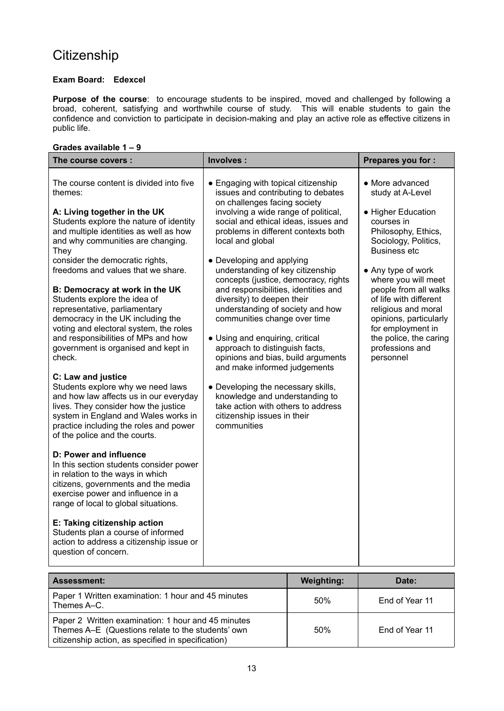# **Citizenship**

### **Exam Board: Edexcel**

**Purpose of the course**: to encourage students to be inspired, moved and challenged by following a broad, coherent, satisfying and worthwhile course of study. This will enable students to gain the confidence and conviction to participate in decision-making and play an active role as effective citizens in public life.

### **Grades available 1 – 9**

| The course covers :                                                                                                                                                                                                                                                                                          | Involves:                                                                                                                                                                                                                                                                                                                                                     | Prepares you for :                                                                                                                                                                                                           |
|--------------------------------------------------------------------------------------------------------------------------------------------------------------------------------------------------------------------------------------------------------------------------------------------------------------|---------------------------------------------------------------------------------------------------------------------------------------------------------------------------------------------------------------------------------------------------------------------------------------------------------------------------------------------------------------|------------------------------------------------------------------------------------------------------------------------------------------------------------------------------------------------------------------------------|
| The course content is divided into five<br>themes:<br>A: Living together in the UK<br>Students explore the nature of identity<br>and multiple identities as well as how<br>and why communities are changing.<br>They<br>consider the democratic rights,                                                      | • Engaging with topical citizenship<br>issues and contributing to debates<br>on challenges facing society<br>involving a wide range of political,<br>social and ethical ideas, issues and<br>problems in different contexts both<br>local and global<br>• Developing and applying                                                                             | • More advanced<br>study at A-Level<br>• Higher Education<br>courses in<br>Philosophy, Ethics,<br>Sociology, Politics,<br><b>Business etc</b>                                                                                |
| freedoms and values that we share.<br>B: Democracy at work in the UK<br>Students explore the idea of<br>representative, parliamentary<br>democracy in the UK including the<br>voting and electoral system, the roles<br>and responsibilities of MPs and how<br>government is organised and kept in<br>check. | understanding of key citizenship<br>concepts (justice, democracy, rights<br>and responsibilities, identities and<br>diversity) to deepen their<br>understanding of society and how<br>communities change over time<br>• Using and enquiring, critical<br>approach to distinguish facts,<br>opinions and bias, build arguments<br>and make informed judgements | • Any type of work<br>where you will meet<br>people from all walks<br>of life with different<br>religious and moral<br>opinions, particularly<br>for employment in<br>the police, the caring<br>professions and<br>personnel |
| C: Law and justice<br>Students explore why we need laws<br>and how law affects us in our everyday<br>lives. They consider how the justice<br>system in England and Wales works in<br>practice including the roles and power<br>of the police and the courts.                                                 | • Developing the necessary skills,<br>knowledge and understanding to<br>take action with others to address<br>citizenship issues in their<br>communities                                                                                                                                                                                                      |                                                                                                                                                                                                                              |
| D: Power and influence<br>In this section students consider power<br>in relation to the ways in which<br>citizens, governments and the media<br>exercise power and influence in a<br>range of local to global situations.                                                                                    |                                                                                                                                                                                                                                                                                                                                                               |                                                                                                                                                                                                                              |
| E: Taking citizenship action<br>Students plan a course of informed<br>action to address a citizenship issue or<br>question of concern.                                                                                                                                                                       |                                                                                                                                                                                                                                                                                                                                                               |                                                                                                                                                                                                                              |

| <b>Assessment:</b>                                                                                                                                            | <b>Weighting:</b> | Date:          |
|---------------------------------------------------------------------------------------------------------------------------------------------------------------|-------------------|----------------|
| Paper 1 Written examination: 1 hour and 45 minutes<br>Themes A–C.                                                                                             | 50%               | End of Year 11 |
| Paper 2 Written examination: 1 hour and 45 minutes<br>Themes A-E (Questions relate to the students' own<br>citizenship action, as specified in specification) | 50%               | End of Year 11 |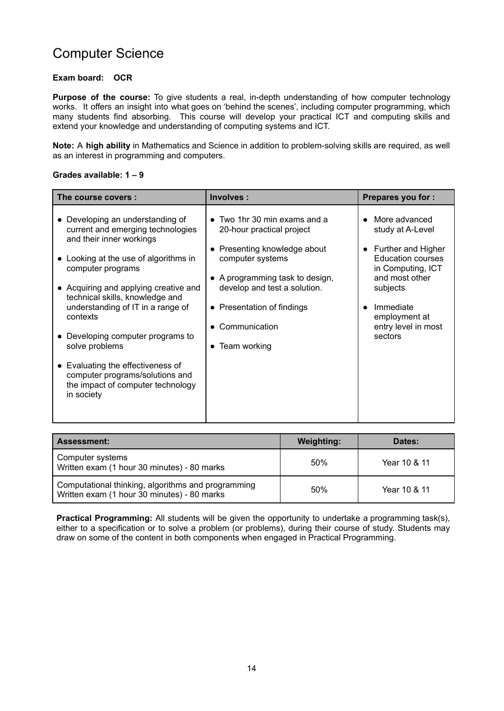### Computer Science

#### **Exam board: OCR**

**Purpose of the course:** To give students a real, in-depth understanding of how computer technology works. It offers an insight into what goes on 'behind the scenes', including computer programming, which many students find absorbing. This course will develop your practical ICT and computing skills and extend your knowledge and understanding of computing systems and ICT.

**Note:** A **high ability** in Mathematics and Science in addition to problem-solving skills are required, as well as an interest in programming and computers.

#### **Grades available: 1 – 9**

| The course covers:                                                                                                                                                                                                                                                                                                                                                                                                                                                         | Involves:                                                                                                                                                                                                                                                                                       | <b>Prepares you for:</b>                                                                                                                                                                               |
|----------------------------------------------------------------------------------------------------------------------------------------------------------------------------------------------------------------------------------------------------------------------------------------------------------------------------------------------------------------------------------------------------------------------------------------------------------------------------|-------------------------------------------------------------------------------------------------------------------------------------------------------------------------------------------------------------------------------------------------------------------------------------------------|--------------------------------------------------------------------------------------------------------------------------------------------------------------------------------------------------------|
| Developing an understanding of<br>current and emerging technologies<br>and their inner workings<br>• Looking at the use of algorithms in<br>computer programs<br>• Acquiring and applying creative and<br>technical skills, knowledge and<br>understanding of IT in a range of<br>contexts<br>Developing computer programs to<br>solve problems<br>• Evaluating the effectiveness of<br>computer programs/solutions and<br>the impact of computer technology<br>in society | Two 1hr 30 min exams and a<br>$\bullet$<br>20-hour practical project<br>Presenting knowledge about<br>$\bullet$<br>computer systems<br>• A programming task to design,<br>develop and test a solution.<br>• Presentation of findings<br>Communication<br>$\bullet$<br>Team working<br>$\bullet$ | More advanced<br>study at A-Level<br>Further and Higher<br><b>Education courses</b><br>in Computing, ICT<br>and most other<br>subjects<br>Immediate<br>employment at<br>entry level in most<br>sectors |

| <b>Assessment:</b>                                                                                | <b>Weighting:</b> | Dates:       |
|---------------------------------------------------------------------------------------------------|-------------------|--------------|
| Computer systems<br>Written exam (1 hour 30 minutes) - 80 marks                                   | 50%               | Year 10 & 11 |
| Computational thinking, algorithms and programming<br>Written exam (1 hour 30 minutes) - 80 marks | 50%               | Year 10 & 11 |

**Practical Programming:** All students will be given the opportunity to undertake a programming task(s), either to a specification or to solve a problem (or problems), during their course of study. Students may draw on some of the content in both components when engaged in Practical Programming.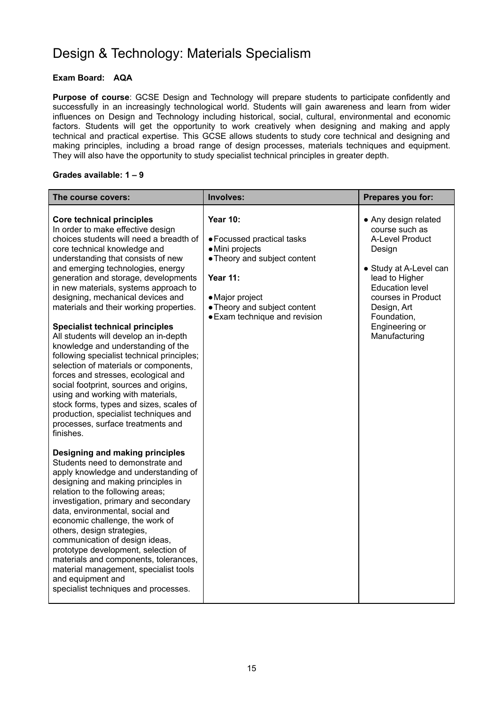## Design & Technology: Materials Specialism

### **Exam Board: AQA**

**Purpose of course**: GCSE Design and Technology will prepare students to participate confidently and successfully in an increasingly technological world. Students will gain awareness and learn from wider influences on Design and Technology including historical, social, cultural, environmental and economic factors. Students will get the opportunity to work creatively when designing and making and apply technical and practical expertise. This GCSE allows students to study core technical and designing and making principles, including a broad range of design processes, materials techniques and equipment. They will also have the opportunity to study specialist technical principles in greater depth.

#### **Grades available: 1 – 9**

| The course covers:                                                                                                                                                                                                                                                                                                                                                                                                                                                                                                                                                                                                                                                                                                                                                                                                                                                       | Involves:                                                                                                                                                                                               | Prepares you for:                                                                                                                                                                                                                |
|--------------------------------------------------------------------------------------------------------------------------------------------------------------------------------------------------------------------------------------------------------------------------------------------------------------------------------------------------------------------------------------------------------------------------------------------------------------------------------------------------------------------------------------------------------------------------------------------------------------------------------------------------------------------------------------------------------------------------------------------------------------------------------------------------------------------------------------------------------------------------|---------------------------------------------------------------------------------------------------------------------------------------------------------------------------------------------------------|----------------------------------------------------------------------------------------------------------------------------------------------------------------------------------------------------------------------------------|
| <b>Core technical principles</b><br>In order to make effective design<br>choices students will need a breadth of<br>core technical knowledge and<br>understanding that consists of new<br>and emerging technologies, energy<br>generation and storage, developments<br>in new materials, systems approach to<br>designing, mechanical devices and<br>materials and their working properties.<br><b>Specialist technical principles</b><br>All students will develop an in-depth<br>knowledge and understanding of the<br>following specialist technical principles;<br>selection of materials or components,<br>forces and stresses, ecological and<br>social footprint, sources and origins,<br>using and working with materials,<br>stock forms, types and sizes, scales of<br>production, specialist techniques and<br>processes, surface treatments and<br>finishes. | <b>Year 10:</b><br>• Focussed practical tasks<br>· Mini projects<br>• Theory and subject content<br><b>Year 11:</b><br>• Major project<br>• Theory and subject content<br>• Exam technique and revision | • Any design related<br>course such as<br>A-Level Product<br>Design<br>• Study at A-Level can<br>lead to Higher<br><b>Education level</b><br>courses in Product<br>Design, Art<br>Foundation,<br>Engineering or<br>Manufacturing |
| Designing and making principles<br>Students need to demonstrate and<br>apply knowledge and understanding of<br>designing and making principles in<br>relation to the following areas;<br>investigation, primary and secondary<br>data, environmental, social and<br>economic challenge, the work of<br>others, design strategies,<br>communication of design ideas,<br>prototype development, selection of<br>materials and components, tolerances,<br>material management, specialist tools<br>and equipment and<br>specialist techniques and processes.                                                                                                                                                                                                                                                                                                                |                                                                                                                                                                                                         |                                                                                                                                                                                                                                  |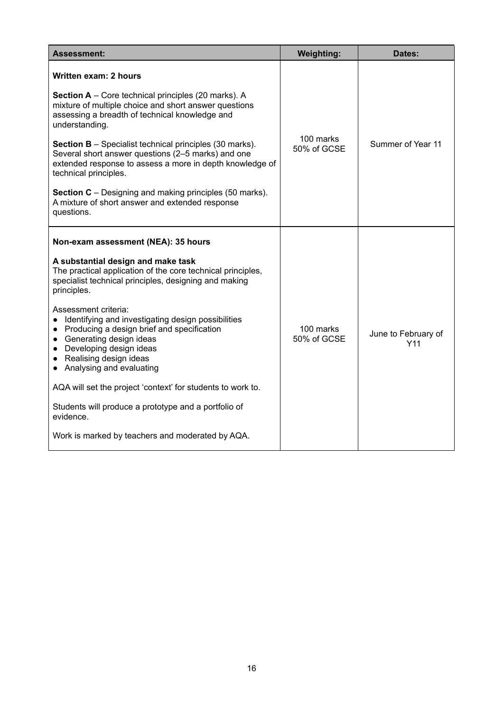| <b>Assessment:</b>                                                                                                                                                                                                                           | <b>Weighting:</b>        | Dates:                     |
|----------------------------------------------------------------------------------------------------------------------------------------------------------------------------------------------------------------------------------------------|--------------------------|----------------------------|
| Written exam: 2 hours                                                                                                                                                                                                                        |                          |                            |
| <b>Section A</b> – Core technical principles (20 marks). A<br>mixture of multiple choice and short answer questions<br>assessing a breadth of technical knowledge and<br>understanding.                                                      |                          |                            |
| <b>Section B</b> – Specialist technical principles (30 marks).<br>Several short answer questions (2-5 marks) and one<br>extended response to assess a more in depth knowledge of<br>technical principles.                                    | 100 marks<br>50% of GCSE | Summer of Year 11          |
| <b>Section C</b> – Designing and making principles (50 marks).<br>A mixture of short answer and extended response<br>questions.                                                                                                              |                          |                            |
| Non-exam assessment (NEA): 35 hours                                                                                                                                                                                                          |                          |                            |
| A substantial design and make task<br>The practical application of the core technical principles,<br>specialist technical principles, designing and making<br>principles.                                                                    |                          |                            |
| Assessment criteria:<br>Identifying and investigating design possibilities<br>• Producing a design brief and specification<br>• Generating design ideas<br>• Developing design ideas<br>• Realising design ideas<br>Analysing and evaluating | 100 marks<br>50% of GCSE | June to February of<br>Y11 |
| AQA will set the project 'context' for students to work to.                                                                                                                                                                                  |                          |                            |
| Students will produce a prototype and a portfolio of<br>evidence.                                                                                                                                                                            |                          |                            |
| Work is marked by teachers and moderated by AQA.                                                                                                                                                                                             |                          |                            |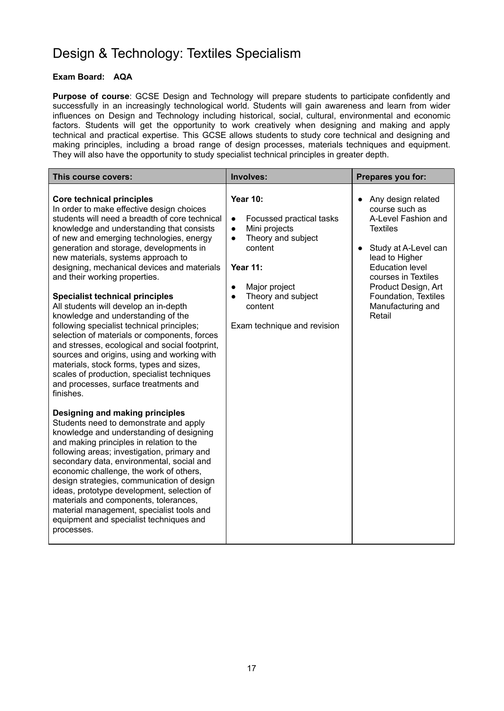## Design & Technology: Textiles Specialism

### **Exam Board: AQA**

**Purpose of course**: GCSE Design and Technology will prepare students to participate confidently and successfully in an increasingly technological world. Students will gain awareness and learn from wider influences on Design and Technology including historical, social, cultural, environmental and economic factors. Students will get the opportunity to work creatively when designing and making and apply technical and practical expertise. This GCSE allows students to study core technical and designing and making principles, including a broad range of design processes, materials techniques and equipment. They will also have the opportunity to study specialist technical principles in greater depth.

| This course covers:                                                                                                                                                                                                                                                                                                                                                                                                                                                                                                                                                                                                                                                                                                                                                                                                                                                | Involves:                                                                                                                                                                                                                                                          | Prepares you for:                                                                                                                                                                                                                                                    |
|--------------------------------------------------------------------------------------------------------------------------------------------------------------------------------------------------------------------------------------------------------------------------------------------------------------------------------------------------------------------------------------------------------------------------------------------------------------------------------------------------------------------------------------------------------------------------------------------------------------------------------------------------------------------------------------------------------------------------------------------------------------------------------------------------------------------------------------------------------------------|--------------------------------------------------------------------------------------------------------------------------------------------------------------------------------------------------------------------------------------------------------------------|----------------------------------------------------------------------------------------------------------------------------------------------------------------------------------------------------------------------------------------------------------------------|
| <b>Core technical principles</b><br>In order to make effective design choices<br>students will need a breadth of core technical<br>knowledge and understanding that consists<br>of new and emerging technologies, energy<br>generation and storage, developments in<br>new materials, systems approach to<br>designing, mechanical devices and materials<br>and their working properties.<br><b>Specialist technical principles</b><br>All students will develop an in-depth<br>knowledge and understanding of the<br>following specialist technical principles;<br>selection of materials or components, forces<br>and stresses, ecological and social footprint,<br>sources and origins, using and working with<br>materials, stock forms, types and sizes,<br>scales of production, specialist techniques<br>and processes, surface treatments and<br>finishes. | <b>Year 10:</b><br>Focussed practical tasks<br>$\bullet$<br>Mini projects<br>$\bullet$<br>Theory and subject<br>$\bullet$<br>content<br><b>Year 11:</b><br>Major project<br>$\bullet$<br>Theory and subject<br>$\bullet$<br>content<br>Exam technique and revision | Any design related<br>$\bullet$<br>course such as<br>A-Level Fashion and<br><b>Textiles</b><br>Study at A-Level can<br>lead to Higher<br><b>Education level</b><br>courses in Textiles<br>Product Design, Art<br>Foundation, Textiles<br>Manufacturing and<br>Retail |
| Designing and making principles<br>Students need to demonstrate and apply<br>knowledge and understanding of designing<br>and making principles in relation to the<br>following areas; investigation, primary and<br>secondary data, environmental, social and<br>economic challenge, the work of others,<br>design strategies, communication of design<br>ideas, prototype development, selection of<br>materials and components, tolerances,<br>material management, specialist tools and<br>equipment and specialist techniques and<br>processes.                                                                                                                                                                                                                                                                                                                |                                                                                                                                                                                                                                                                    |                                                                                                                                                                                                                                                                      |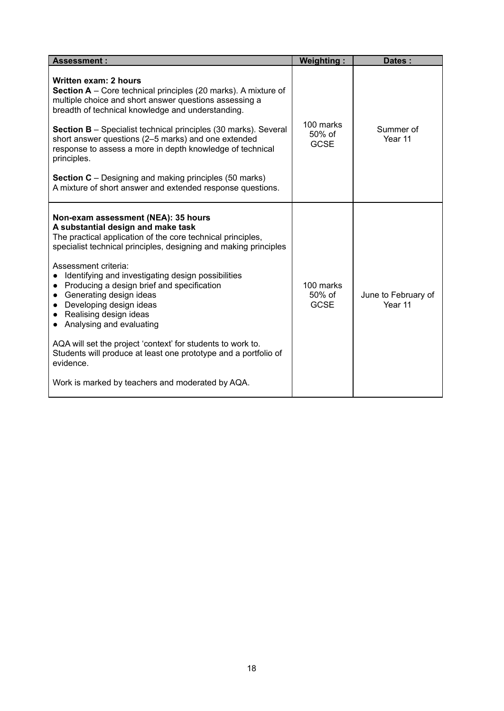| <b>Assessment:</b>                                                                                                                                                                                                                                                                                                                                                                                                                                                                                                                                                                                                                                                                                                       | <b>Weighting:</b>                     | Dates:                         |
|--------------------------------------------------------------------------------------------------------------------------------------------------------------------------------------------------------------------------------------------------------------------------------------------------------------------------------------------------------------------------------------------------------------------------------------------------------------------------------------------------------------------------------------------------------------------------------------------------------------------------------------------------------------------------------------------------------------------------|---------------------------------------|--------------------------------|
| Written exam: 2 hours<br><b>Section A</b> – Core technical principles (20 marks). A mixture of<br>multiple choice and short answer questions assessing a<br>breadth of technical knowledge and understanding.<br><b>Section B</b> – Specialist technical principles (30 marks). Several<br>short answer questions (2-5 marks) and one extended<br>response to assess a more in depth knowledge of technical<br>principles.<br><b>Section C</b> – Designing and making principles (50 marks)<br>A mixture of short answer and extended response questions.                                                                                                                                                                | 100 marks<br>50% of<br><b>GCSE</b>    | Summer of<br>Year 11           |
| Non-exam assessment (NEA): 35 hours<br>A substantial design and make task<br>The practical application of the core technical principles,<br>specialist technical principles, designing and making principles<br>Assessment criteria:<br>Identifying and investigating design possibilities<br>Producing a design brief and specification<br>$\bullet$<br>Generating design ideas<br>$\bullet$<br>Developing design ideas<br>$\bullet$<br>Realising design ideas<br>$\bullet$<br>Analysing and evaluating<br>$\bullet$<br>AQA will set the project 'context' for students to work to.<br>Students will produce at least one prototype and a portfolio of<br>evidence.<br>Work is marked by teachers and moderated by AQA. | 100 marks<br>$50\%$ of<br><b>GCSE</b> | June to February of<br>Year 11 |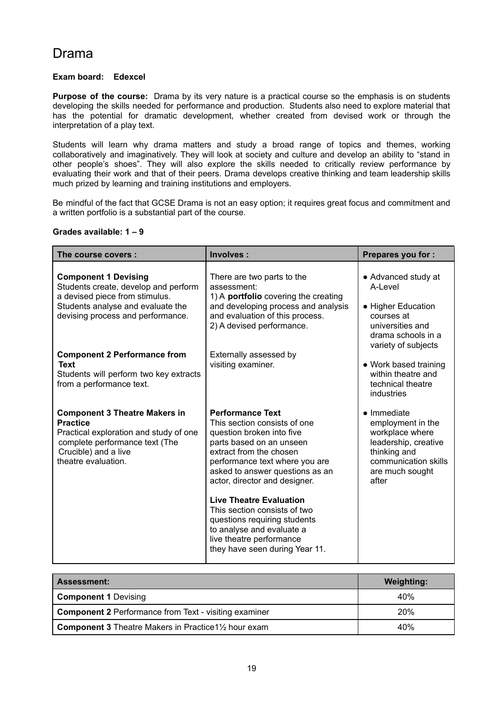### Drama

### **Exam board: Edexcel**

**Purpose of the course:** Drama by its very nature is a practical course so the emphasis is on students developing the skills needed for performance and production. Students also need to explore material that has the potential for dramatic development, whether created from devised work or through the interpretation of a play text.

Students will learn why drama matters and study a broad range of topics and themes, working collaboratively and imaginatively. They will look at society and culture and develop an ability to "stand in other people's shoes". They will also explore the skills needed to critically review performance by evaluating their work and that of their peers. Drama develops creative thinking and team leadership skills much prized by learning and training institutions and employers.

Be mindful of the fact that GCSE Drama is not an easy option; it requires great focus and commitment and a written portfolio is a substantial part of the course.

#### **Grades available: 1 – 9**

| The course covers:                                                                                                                                                                 | Involves:                                                                                                                                                                                                                                                                                                                                                                                                                                      | <b>Prepares you for:</b>                                                                                                                                |
|------------------------------------------------------------------------------------------------------------------------------------------------------------------------------------|------------------------------------------------------------------------------------------------------------------------------------------------------------------------------------------------------------------------------------------------------------------------------------------------------------------------------------------------------------------------------------------------------------------------------------------------|---------------------------------------------------------------------------------------------------------------------------------------------------------|
| <b>Component 1 Devising</b><br>Students create, develop and perform<br>a devised piece from stimulus.<br>Students analyse and evaluate the<br>devising process and performance.    | There are two parts to the<br>assessment:<br>1) A portfolio covering the creating<br>and developing process and analysis<br>and evaluation of this process.<br>2) A devised performance.                                                                                                                                                                                                                                                       | • Advanced study at<br>A-Level<br>• Higher Education<br>courses at<br>universities and<br>drama schools in a<br>variety of subjects                     |
| <b>Component 2 Performance from</b><br>Text<br>Students will perform two key extracts<br>from a performance text.                                                                  | Externally assessed by<br>visiting examiner.                                                                                                                                                                                                                                                                                                                                                                                                   | • Work based training<br>within theatre and<br>technical theatre<br>industries                                                                          |
| <b>Component 3 Theatre Makers in</b><br><b>Practice</b><br>Practical exploration and study of one<br>complete performance text (The<br>Crucible) and a live<br>theatre evaluation. | <b>Performance Text</b><br>This section consists of one<br>question broken into five<br>parts based on an unseen<br>extract from the chosen<br>performance text where you are<br>asked to answer questions as an<br>actor, director and designer.<br><b>Live Theatre Evaluation</b><br>This section consists of two<br>questions requiring students<br>to analyse and evaluate a<br>live theatre performance<br>they have seen during Year 11. | $\bullet$ Immediate<br>employment in the<br>workplace where<br>leadership, creative<br>thinking and<br>communication skills<br>are much sought<br>after |

| Assessment:                                                                           | <b>Weighting:</b> |
|---------------------------------------------------------------------------------------|-------------------|
| <b>Component 1 Devising</b>                                                           | 40%               |
| <b>Component 2 Performance from Text - visiting examiner</b>                          | <b>20%</b>        |
| <b>Component 3</b> Theatre Makers in Practice 1 <sup>1</sup> / <sub>2</sub> hour exam | 40%               |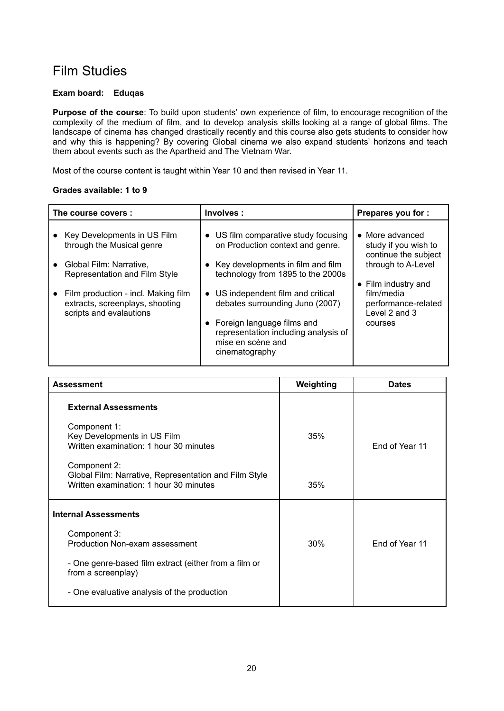### Film Studies

#### **Exam board: Eduqas**

**Purpose of the course**: To build upon students' own experience of film, to encourage recognition of the complexity of the medium of film, and to develop analysis skills looking at a range of global films. The landscape of cinema has changed drastically recently and this course also gets students to consider how and why this is happening? By covering Global cinema we also expand students' horizons and teach them about events such as the Apartheid and The Vietnam War.

Most of the course content is taught within Year 10 and then revised in Year 11.

### **Grades available: 1 to 9**

| The course covers :                                                                               | Involves:                                                                                                                                                                                       | Prepares you for :                                                                   |
|---------------------------------------------------------------------------------------------------|-------------------------------------------------------------------------------------------------------------------------------------------------------------------------------------------------|--------------------------------------------------------------------------------------|
| Key Developments in US Film<br>through the Musical genre                                          | • US film comparative study focusing<br>on Production context and genre.                                                                                                                        | • More advanced<br>study if you wish to<br>continue the subject                      |
| Global Film: Narrative,<br>Representation and Film Style                                          | Key developments in film and film<br>technology from 1895 to the 2000s                                                                                                                          | through to A-Level                                                                   |
| Film production - incl. Making film<br>extracts, screenplays, shooting<br>scripts and evalautions | • US independent film and critical<br>debates surrounding Juno (2007)<br>Foreign language films and<br>$\bullet$<br>representation including analysis of<br>mise en scène and<br>cinematography | • Film industry and<br>film/media<br>performance-related<br>Level 2 and 3<br>courses |

| <b>Assessment</b>                                                                                                    | Weighting | <b>Dates</b>   |
|----------------------------------------------------------------------------------------------------------------------|-----------|----------------|
| <b>External Assessments</b><br>Component 1:<br>Key Developments in US Film<br>Written examination: 1 hour 30 minutes | 35%       | End of Year 11 |
| Component 2:<br>Global Film: Narrative, Representation and Film Style<br>Written examination: 1 hour 30 minutes      | 35%       |                |
| <b>Internal Assessments</b>                                                                                          |           |                |
| Component 3:<br>Production Non-exam assessment                                                                       | 30%       | End of Year 11 |
| - One genre-based film extract (either from a film or<br>from a screenplay)                                          |           |                |
| - One evaluative analysis of the production                                                                          |           |                |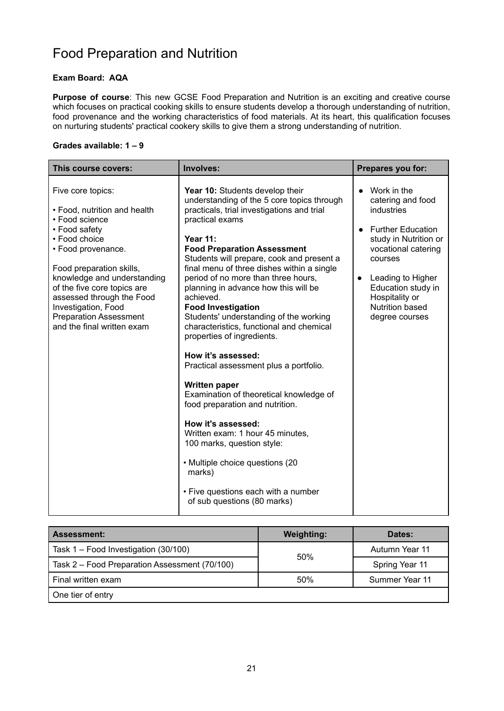# Food Preparation and Nutrition

### **Exam Board: AQA**

**Purpose of course**: This new GCSE Food Preparation and Nutrition is an exciting and creative course which focuses on practical cooking skills to ensure students develop a thorough understanding of nutrition, food provenance and the working characteristics of food materials. At its heart, this qualification focuses on nurturing students' practical cookery skills to give them a strong understanding of nutrition.

### **Grades available: 1 – 9**

| This course covers:                                                                                                                                                                                                                                                                                                                      | Involves:                                                                                                                                                                                                                                                                                                                                                                                                                                                                                                                                                                                                                                                                                                                                                                                                                                                                                                                        | Prepares you for:                                                                                                                                                                                                                                           |
|------------------------------------------------------------------------------------------------------------------------------------------------------------------------------------------------------------------------------------------------------------------------------------------------------------------------------------------|----------------------------------------------------------------------------------------------------------------------------------------------------------------------------------------------------------------------------------------------------------------------------------------------------------------------------------------------------------------------------------------------------------------------------------------------------------------------------------------------------------------------------------------------------------------------------------------------------------------------------------------------------------------------------------------------------------------------------------------------------------------------------------------------------------------------------------------------------------------------------------------------------------------------------------|-------------------------------------------------------------------------------------------------------------------------------------------------------------------------------------------------------------------------------------------------------------|
| Five core topics:<br>• Food, nutrition and health<br>• Food science<br>• Food safety<br>• Food choice<br>• Food provenance.<br>Food preparation skills,<br>knowledge and understanding<br>of the five core topics are<br>assessed through the Food<br>Investigation, Food<br><b>Preparation Assessment</b><br>and the final written exam | Year 10: Students develop their<br>understanding of the 5 core topics through<br>practicals, trial investigations and trial<br>practical exams<br><b>Year 11:</b><br><b>Food Preparation Assessment</b><br>Students will prepare, cook and present a<br>final menu of three dishes within a single<br>period of no more than three hours,<br>planning in advance how this will be<br>achieved.<br><b>Food Investigation</b><br>Students' understanding of the working<br>characteristics, functional and chemical<br>properties of ingredients.<br>How it's assessed:<br>Practical assessment plus a portfolio.<br><b>Written paper</b><br>Examination of theoretical knowledge of<br>food preparation and nutrition.<br>How it's assessed:<br>Written exam: 1 hour 45 minutes,<br>100 marks, question style:<br>• Multiple choice questions (20<br>marks)<br>• Five questions each with a number<br>of sub questions (80 marks) | Work in the<br>catering and food<br>industries<br><b>Further Education</b><br>study in Nutrition or<br>vocational catering<br>courses<br>Leading to Higher<br>$\bullet$<br>Education study in<br>Hospitality or<br><b>Nutrition based</b><br>degree courses |

| <b>Assessment:</b>                            | <b>Weighting:</b> | Dates:         |
|-----------------------------------------------|-------------------|----------------|
| Task 1 – Food Investigation (30/100)          | 50%               | Autumn Year 11 |
| Task 2 - Food Preparation Assessment (70/100) |                   | Spring Year 11 |
| Final written exam                            | 50%               | Summer Year 11 |
| One tier of entry                             |                   |                |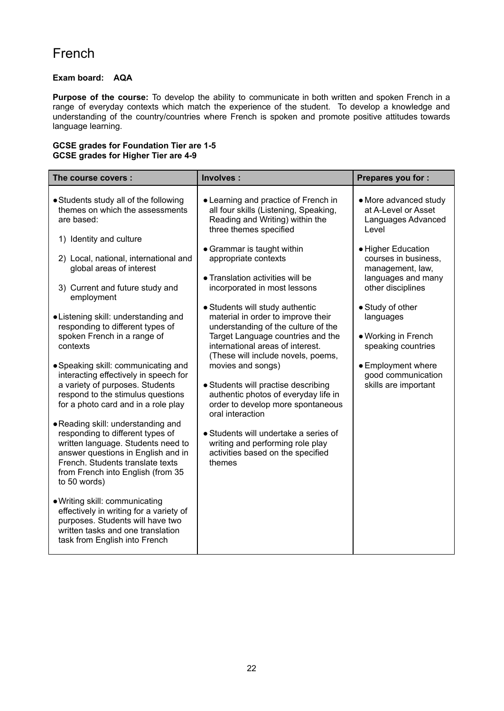### French

### **Exam board: AQA**

**Purpose of the course:** To develop the ability to communicate in both written and spoken French in a range of everyday contexts which match the experience of the student. To develop a knowledge and understanding of the country/countries where French is spoken and promote positive attitudes towards language learning.

#### **GCSE grades for Foundation Tier are 1-5 GCSE grades for Higher Tier are 4-9**

| The course covers :                                                                                                                                                                                                                                                                                                                                                                                                                                                                                                                                                                                                                                                                                                                                                                                                                                                                                       | Involves:                                                                                                                                                                                                                                                                                                                                                                                                                                                                                                                                                                                                                                      | Prepares you for :                                                                                                                                                                                                                                          |
|-----------------------------------------------------------------------------------------------------------------------------------------------------------------------------------------------------------------------------------------------------------------------------------------------------------------------------------------------------------------------------------------------------------------------------------------------------------------------------------------------------------------------------------------------------------------------------------------------------------------------------------------------------------------------------------------------------------------------------------------------------------------------------------------------------------------------------------------------------------------------------------------------------------|------------------------------------------------------------------------------------------------------------------------------------------------------------------------------------------------------------------------------------------------------------------------------------------------------------------------------------------------------------------------------------------------------------------------------------------------------------------------------------------------------------------------------------------------------------------------------------------------------------------------------------------------|-------------------------------------------------------------------------------------------------------------------------------------------------------------------------------------------------------------------------------------------------------------|
| • Students study all of the following<br>themes on which the assessments<br>are based:                                                                                                                                                                                                                                                                                                                                                                                                                                                                                                                                                                                                                                                                                                                                                                                                                    | • Learning and practice of French in<br>all four skills (Listening, Speaking,<br>Reading and Writing) within the<br>three themes specified                                                                                                                                                                                                                                                                                                                                                                                                                                                                                                     | • More advanced study<br>at A-Level or Asset<br>Languages Advanced<br>Level                                                                                                                                                                                 |
| 1) Identity and culture<br>2) Local, national, international and<br>global areas of interest<br>3) Current and future study and<br>employment<br>• Listening skill: understanding and<br>responding to different types of<br>spoken French in a range of<br>contexts<br>• Speaking skill: communicating and<br>interacting effectively in speech for<br>a variety of purposes. Students<br>respond to the stimulus questions<br>for a photo card and in a role play<br>• Reading skill: understanding and<br>responding to different types of<br>written language. Students need to<br>answer questions in English and in<br>French. Students translate texts<br>from French into English (from 35<br>to 50 words)<br>. Writing skill: communicating<br>effectively in writing for a variety of<br>purposes. Students will have two<br>written tasks and one translation<br>task from English into French | • Grammar is taught within<br>appropriate contexts<br>• Translation activities will be<br>incorporated in most lessons<br>• Students will study authentic<br>material in order to improve their<br>understanding of the culture of the<br>Target Language countries and the<br>international areas of interest.<br>(These will include novels, poems,<br>movies and songs)<br>• Students will practise describing<br>authentic photos of everyday life in<br>order to develop more spontaneous<br>oral interaction<br>• Students will undertake a series of<br>writing and performing role play<br>activities based on the specified<br>themes | • Higher Education<br>courses in business,<br>management, law,<br>languages and many<br>other disciplines<br>• Study of other<br>languages<br>• Working in French<br>speaking countries<br>• Employment where<br>good communication<br>skills are important |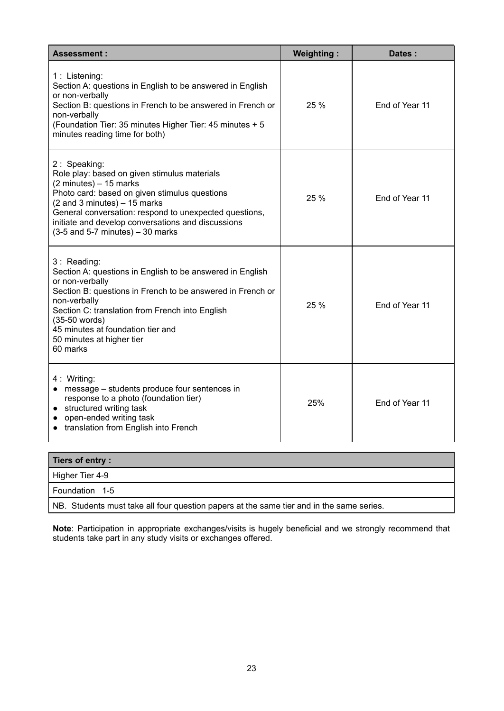| <b>Assessment:</b>                                                                                                                                                                                                                                                                                                                                 | <b>Weighting:</b> | Dates:         |
|----------------------------------------------------------------------------------------------------------------------------------------------------------------------------------------------------------------------------------------------------------------------------------------------------------------------------------------------------|-------------------|----------------|
| 1 : Listening:<br>Section A: questions in English to be answered in English<br>or non-verbally<br>Section B: questions in French to be answered in French or<br>non-verbally<br>(Foundation Tier: 35 minutes Higher Tier: 45 minutes + 5<br>minutes reading time for both)                                                                         | 25 %              | End of Year 11 |
| 2: Speaking:<br>Role play: based on given stimulus materials<br>$(2 \text{ minutes}) - 15 \text{ marks}$<br>Photo card: based on given stimulus questions<br>$(2$ and 3 minutes) $-15$ marks<br>General conversation: respond to unexpected questions,<br>initiate and develop conversations and discussions<br>$(3-5$ and 5-7 minutes) - 30 marks | 25 %              | End of Year 11 |
| 3: Reading:<br>Section A: questions in English to be answered in English<br>or non-verbally<br>Section B: questions in French to be answered in French or<br>non-verbally<br>Section C: translation from French into English<br>(35-50 words)<br>45 minutes at foundation tier and<br>50 minutes at higher tier<br>60 marks                        | 25 %              | End of Year 11 |
| 4 : Writing:<br>• message – students produce four sentences in<br>response to a photo (foundation tier)<br>structured writing task<br>$\bullet$<br>open-ended writing task<br>translation from English into French                                                                                                                                 | 25%               | End of Year 11 |

| Tiers of entry:                                                                          |
|------------------------------------------------------------------------------------------|
| Higher Tier 4-9                                                                          |
| Foundation 1-5                                                                           |
| NB. Students must take all four question papers at the same tier and in the same series. |

**Note**: Participation in appropriate exchanges/visits is hugely beneficial and we strongly recommend that students take part in any study visits or exchanges offered.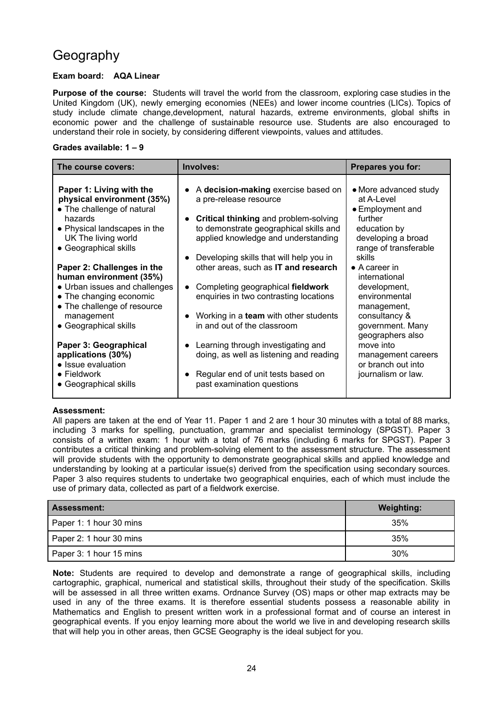## Geography

### **Exam board: AQA Linear**

**Purpose of the course:** Students will travel the world from the classroom, exploring case studies in the United Kingdom (UK), newly emerging economies (NEEs) and lower income countries (LICs). Topics of study include climate change,development, natural hazards, extreme environments, global shifts in economic power and the challenge of sustainable resource use. Students are also encouraged to understand their role in society, by considering different viewpoints, values and attitudes.

#### **Grades available: 1 – 9**

| The course covers:                                                                                                                                                                                                                                                                                                                                                                                                                                                                              | Involves:                                                                                                                                                                                                                                                                                                                                                                                                                                                                                                                                                                              | Prepares you for:                                                                                                                                                                                                                                                                                                                                                             |
|-------------------------------------------------------------------------------------------------------------------------------------------------------------------------------------------------------------------------------------------------------------------------------------------------------------------------------------------------------------------------------------------------------------------------------------------------------------------------------------------------|----------------------------------------------------------------------------------------------------------------------------------------------------------------------------------------------------------------------------------------------------------------------------------------------------------------------------------------------------------------------------------------------------------------------------------------------------------------------------------------------------------------------------------------------------------------------------------------|-------------------------------------------------------------------------------------------------------------------------------------------------------------------------------------------------------------------------------------------------------------------------------------------------------------------------------------------------------------------------------|
| Paper 1: Living with the<br>physical environment (35%)<br>• The challenge of natural<br>hazards<br>• Physical landscapes in the<br>UK The living world<br>• Geographical skills<br>Paper 2: Challenges in the<br>human environment (35%)<br>• Urban issues and challenges<br>• The changing economic<br>• The challenge of resource<br>management<br>• Geographical skills<br>Paper 3: Geographical<br>applications (30%)<br>• Issue evaluation<br>$\bullet$ Fieldwork<br>• Geographical skills | A decision-making exercise based on<br>a pre-release resource<br>Critical thinking and problem-solving<br>to demonstrate geographical skills and<br>applied knowledge and understanding<br>Developing skills that will help you in<br>other areas, such as IT and research<br>Completing geographical fieldwork<br>enquiries in two contrasting locations<br>Working in a team with other students<br>in and out of the classroom<br>Learning through investigating and<br>doing, as well as listening and reading<br>Regular end of unit tests based on<br>past examination questions | • More advanced study<br>at A-Level<br>• Employment and<br>further<br>education by<br>developing a broad<br>range of transferable<br>skills<br>$\bullet$ A career in<br>international<br>development,<br>environmental<br>management,<br>consultancy &<br>government. Many<br>geographers also<br>move into<br>management careers<br>or branch out into<br>journalism or law. |

#### **Assessment:**

All papers are taken at the end of Year 11. Paper 1 and 2 are 1 hour 30 minutes with a total of 88 marks, including 3 marks for spelling, punctuation, grammar and specialist terminology (SPGST). Paper 3 consists of a written exam: 1 hour with a total of 76 marks (including 6 marks for SPGST). Paper 3 contributes a critical thinking and problem-solving element to the assessment structure. The assessment will provide students with the opportunity to demonstrate geographical skills and applied knowledge and understanding by looking at a particular issue(s) derived from the specification using secondary sources. Paper 3 also requires students to undertake two geographical enquiries, each of which must include the use of primary data, collected as part of a fieldwork exercise.

| <b>Assessment:</b>      | <b>Weighting:</b> |
|-------------------------|-------------------|
| Paper 1: 1 hour 30 mins | 35%               |
| Paper 2: 1 hour 30 mins | 35%               |
| Paper 3: 1 hour 15 mins | 30%               |

**Note:** Students are required to develop and demonstrate a range of geographical skills, including cartographic, graphical, numerical and statistical skills, throughout their study of the specification. Skills will be assessed in all three written exams. Ordnance Survey (OS) maps or other map extracts may be used in any of the three exams. It is therefore essential students possess a reasonable ability in Mathematics and English to present written work in a professional format and of course an interest in geographical events. If you enjoy learning more about the world we live in and developing research skills that will help you in other areas, then GCSE Geography is the ideal subject for you.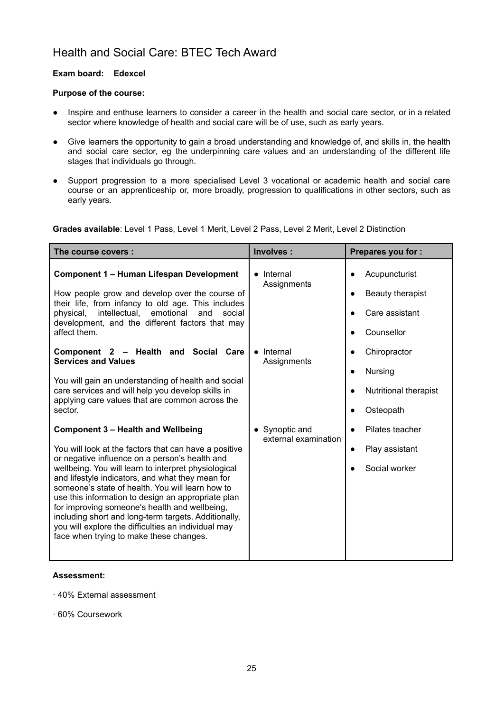### Health and Social Care: BTEC Tech Award

#### **Exam board: Edexcel**

#### **Purpose of the course:**

- Inspire and enthuse learners to consider a career in the health and social care sector, or in a related sector where knowledge of health and social care will be of use, such as early years.
- Give learners the opportunity to gain a broad understanding and knowledge of, and skills in, the health and social care sector, eg the underpinning care values and an understanding of the different life stages that individuals go through.
- Support progression to a more specialised Level 3 vocational or academic health and social care course or an apprenticeship or, more broadly, progression to qualifications in other sectors, such as early years.

**Grades available**: Level 1 Pass, Level 1 Merit, Level 2 Pass, Level 2 Merit, Level 2 Distinction

| The course covers :                                                                                                                                                                                                                                                                                                                                                                                                                                                                                                                                                                   | Involves:                              | Prepares you for :                                                                          |
|---------------------------------------------------------------------------------------------------------------------------------------------------------------------------------------------------------------------------------------------------------------------------------------------------------------------------------------------------------------------------------------------------------------------------------------------------------------------------------------------------------------------------------------------------------------------------------------|----------------------------------------|---------------------------------------------------------------------------------------------|
| <b>Component 1 - Human Lifespan Development</b><br>How people grow and develop over the course of<br>their life, from infancy to old age. This includes<br>intellectual,<br>emotional<br>physical,<br>and<br>social<br>development, and the different factors that may<br>affect them.                                                                                                                                                                                                                                                                                                | • Internal<br>Assignments              | Acupuncturist<br>Beauty therapist<br>$\bullet$<br>Care assistant<br>Counsellor<br>$\bullet$ |
| Component 2 - Health and Social<br>Care<br><b>Services and Values</b><br>You will gain an understanding of health and social<br>care services and will help you develop skills in<br>applying care values that are common across the<br>sector.                                                                                                                                                                                                                                                                                                                                       | • Internal<br>Assignments              | Chiropractor<br>Nursing<br>$\bullet$<br>Nutritional therapist<br>Osteopath<br>$\bullet$     |
| <b>Component 3 - Health and Wellbeing</b><br>You will look at the factors that can have a positive<br>or negative influence on a person's health and<br>wellbeing. You will learn to interpret physiological<br>and lifestyle indicators, and what they mean for<br>someone's state of health. You will learn how to<br>use this information to design an appropriate plan<br>for improving someone's health and wellbeing,<br>including short and long-term targets. Additionally,<br>you will explore the difficulties an individual may<br>face when trying to make these changes. | • Synoptic and<br>external examination | Pilates teacher<br>Play assistant<br>$\bullet$<br>Social worker                             |

#### **Assessment:**

- · 40% External assessment
- · 60% Coursework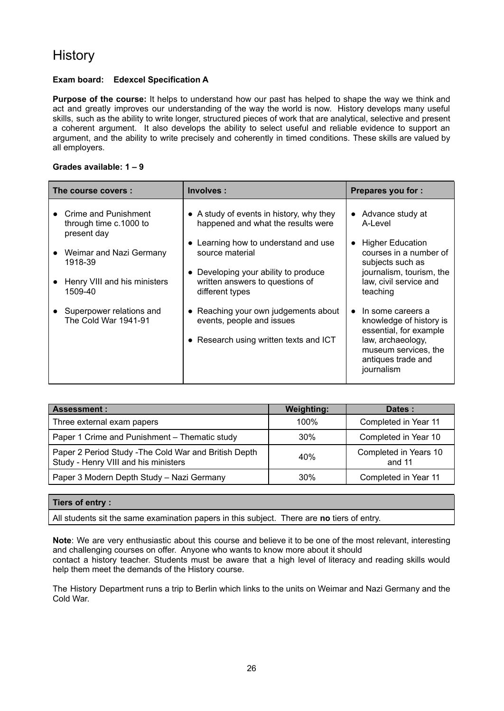### **History**

### **Exam board: Edexcel Specification A**

**Purpose of the course:** It helps to understand how our past has helped to shape the way we think and act and greatly improves our understanding of the way the world is now. History develops many useful skills, such as the ability to write longer, structured pieces of work that are analytical, selective and present a coherent argument. It also develops the ability to select useful and reliable evidence to support an argument, and the ability to write precisely and coherently in timed conditions. These skills are valued by all employers.

#### **Grades available: 1 – 9**

| The course covers: |                                                               | Involves:                                                                                                   | <b>Prepares you for:</b>                                                                                                                  |
|--------------------|---------------------------------------------------------------|-------------------------------------------------------------------------------------------------------------|-------------------------------------------------------------------------------------------------------------------------------------------|
|                    | Crime and Punishment<br>through time c.1000 to<br>present day | • A study of events in history, why they<br>happened and what the results were                              | • Advance study at<br>A-Level                                                                                                             |
|                    | Weimar and Nazi Germany<br>1918-39                            | • Learning how to understand and use<br>source material                                                     | <b>Higher Education</b><br>courses in a number of<br>subjects such as                                                                     |
|                    | Henry VIII and his ministers<br>1509-40                       | Developing your ability to produce<br>written answers to questions of<br>different types                    | journalism, tourism, the<br>law, civil service and<br>teaching                                                                            |
|                    | Superpower relations and<br>The Cold War 1941-91              | • Reaching your own judgements about<br>events, people and issues<br>• Research using written texts and ICT | In some careers a<br>knowledge of history is<br>essential, for example<br>law, archaeology,<br>museum services, the<br>antiques trade and |
|                    |                                                               |                                                                                                             | journalism                                                                                                                                |

| <b>Assessment:</b>                                                                            | <b>Weighting:</b> | Dates:                          |
|-----------------------------------------------------------------------------------------------|-------------------|---------------------------------|
| Three external exam papers                                                                    | 100%              | Completed in Year 11            |
| Paper 1 Crime and Punishment - Thematic study                                                 | 30%               | Completed in Year 10            |
| Paper 2 Period Study - The Cold War and British Depth<br>Study - Henry VIII and his ministers | 40%               | Completed in Years 10<br>and 11 |
| Paper 3 Modern Depth Study - Nazi Germany                                                     | 30%               | Completed in Year 11            |

#### **Tiers of entry :**

All students sit the same examination papers in this subject. There are **no** tiers of entry.

**Note**: We are very enthusiastic about this course and believe it to be one of the most relevant, interesting and challenging courses on offer. Anyone who wants to know more about it should contact a history teacher. Students must be aware that a high level of literacy and reading skills would help them meet the demands of the History course.

The History Department runs a trip to Berlin which links to the units on Weimar and Nazi Germany and the Cold War.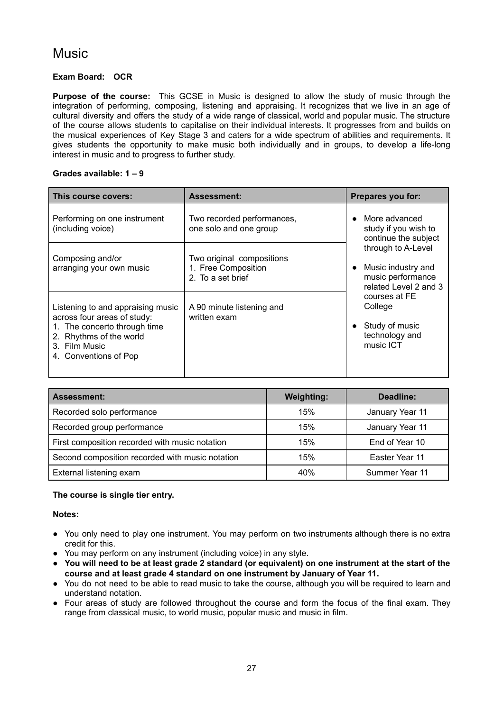### **Music**

### **Exam Board: OCR**

**Purpose of the course:** This GCSE in Music is designed to allow the study of music through the integration of performing, composing, listening and appraising. It recognizes that we live in an age of cultural diversity and offers the study of a wide range of classical, world and popular music. The structure of the course allows students to capitalise on their individual interests. It progresses from and builds on the musical experiences of Key Stage 3 and caters for a wide spectrum of abilities and requirements. It gives students the opportunity to make music both individually and in groups, to develop a life-long interest in music and to progress to further study.

#### **Grades available: 1 – 9**

| This course covers:                                                                                                                                                   | <b>Assessment:</b>                                                    | Prepares you for:                                                                                                                                                                                                                    |
|-----------------------------------------------------------------------------------------------------------------------------------------------------------------------|-----------------------------------------------------------------------|--------------------------------------------------------------------------------------------------------------------------------------------------------------------------------------------------------------------------------------|
| Performing on one instrument<br>(including voice)                                                                                                                     | Two recorded performances,<br>one solo and one group                  | More advanced<br>study if you wish to<br>continue the subject<br>through to A-Level<br>Music industry and<br>music performance<br>related Level 2 and 3<br>courses at FE<br>College<br>Study of music<br>technology and<br>music ICT |
| Composing and/or<br>arranging your own music                                                                                                                          | Two original compositions<br>1. Free Composition<br>2. To a set brief |                                                                                                                                                                                                                                      |
| Listening to and appraising music<br>across four areas of study:<br>1. The concerto through time<br>2. Rhythms of the world<br>3. Film Music<br>4. Conventions of Pop | A 90 minute listening and<br>written exam                             |                                                                                                                                                                                                                                      |

| <b>Assessment:</b>                              | <b>Weighting:</b> | Deadline:       |
|-------------------------------------------------|-------------------|-----------------|
| Recorded solo performance                       | 15%               | January Year 11 |
| Recorded group performance                      | 15%               | January Year 11 |
| First composition recorded with music notation  | 15%               | End of Year 10  |
| Second composition recorded with music notation | 15%               | Easter Year 11  |
| External listening exam                         | 40%               | Summer Year 11  |

### **The course is single tier entry.**

#### **Notes:**

- You only need to play one instrument. You may perform on two instruments although there is no extra credit for this.
- You may perform on any instrument (including voice) in any style.
- You will need to be at least grade 2 standard (or equivalent) on one instrument at the start of the **course and at least grade 4 standard on one instrument by January of Year 11.**
- You do not need to be able to read music to take the course, although you will be required to learn and understand notation.
- Four areas of study are followed throughout the course and form the focus of the final exam. They range from classical music, to world music, popular music and music in film.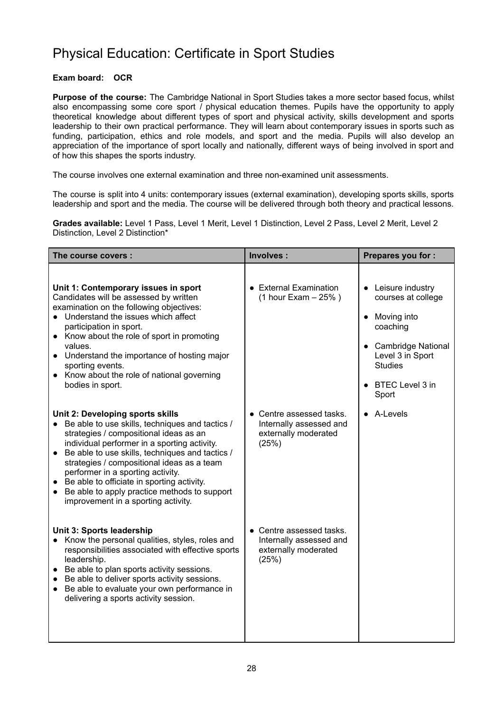### Physical Education: Certificate in Sport Studies

### **Exam board: OCR**

**Purpose of the course:** The Cambridge National in Sport Studies takes a more sector based focus, whilst also encompassing some core sport  $\overline{I}$  physical education themes. Pupils have the opportunity to apply theoretical knowledge about different types of sport and physical activity, skills development and sports leadership to their own practical performance. They will learn about contemporary issues in sports such as funding, participation, ethics and role models, and sport and the media. Pupils will also develop an appreciation of the importance of sport locally and nationally, different ways of being involved in sport and of how this shapes the sports industry.

The course involves one external examination and three non-examined unit assessments.

The course is split into 4 units: contemporary issues (external examination), developing sports skills, sports leadership and sport and the media. The course will be delivered through both theory and practical lessons.

**Grades available:** Level 1 Pass, Level 1 Merit, Level 1 Distinction, Level 2 Pass, Level 2 Merit, Level 2 Distinction, Level 2 Distinction\*

| The course covers:                                                                                                                                                                                                                                                                                                                                                                                                                                                    | Involves :                                                                           | Prepares you for :                                                                                                                                            |
|-----------------------------------------------------------------------------------------------------------------------------------------------------------------------------------------------------------------------------------------------------------------------------------------------------------------------------------------------------------------------------------------------------------------------------------------------------------------------|--------------------------------------------------------------------------------------|---------------------------------------------------------------------------------------------------------------------------------------------------------------|
| Unit 1: Contemporary issues in sport<br>Candidates will be assessed by written<br>examination on the following objectives:<br>• Understand the issues which affect<br>participation in sport.<br>• Know about the role of sport in promoting<br>values.<br>• Understand the importance of hosting major<br>sporting events.<br>• Know about the role of national governing<br>bodies in sport.                                                                        | • External Examination<br>$(1 hour Exam - 25%)$                                      | • Leisure industry<br>courses at college<br>Moving into<br>coaching<br>• Cambridge National<br>Level 3 in Sport<br><b>Studies</b><br>BTEC Level 3 in<br>Sport |
| Unit 2: Developing sports skills<br>Be able to use skills, techniques and tactics /<br>strategies / compositional ideas as an<br>individual performer in a sporting activity.<br>Be able to use skills, techniques and tactics /<br>$\bullet$<br>strategies / compositional ideas as a team<br>performer in a sporting activity.<br>Be able to officiate in sporting activity.<br>Be able to apply practice methods to support<br>improvement in a sporting activity. | • Centre assessed tasks.<br>Internally assessed and<br>externally moderated<br>(25%) | • A-Levels                                                                                                                                                    |
| Unit 3: Sports leadership<br>Know the personal qualities, styles, roles and<br>responsibilities associated with effective sports<br>leadership.<br>• Be able to plan sports activity sessions.<br>Be able to deliver sports activity sessions.<br>Be able to evaluate your own performance in<br>$\bullet$<br>delivering a sports activity session.                                                                                                                   | • Centre assessed tasks.<br>Internally assessed and<br>externally moderated<br>(25%) |                                                                                                                                                               |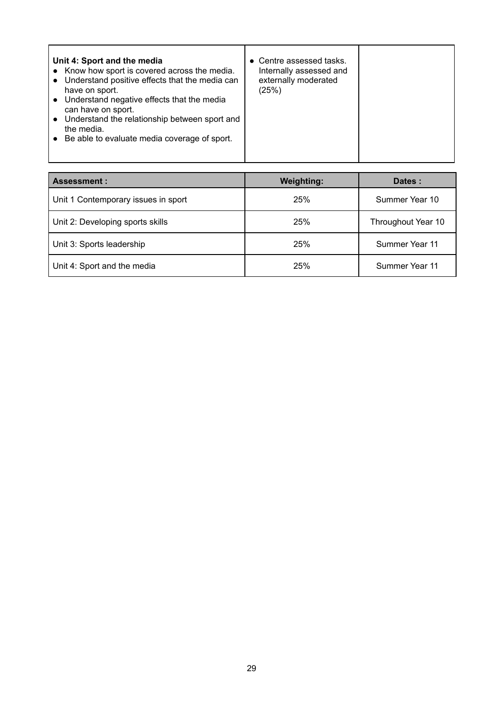| <b>Assessment:</b>                  | <b>Weighting:</b> | Dates:             |
|-------------------------------------|-------------------|--------------------|
| Unit 1 Contemporary issues in sport | 25%               | Summer Year 10     |
| Unit 2: Developing sports skills    | 25%               | Throughout Year 10 |
| Unit 3: Sports leadership           | 25%               | Summer Year 11     |
| Unit 4: Sport and the media         | 25%               | Summer Year 11     |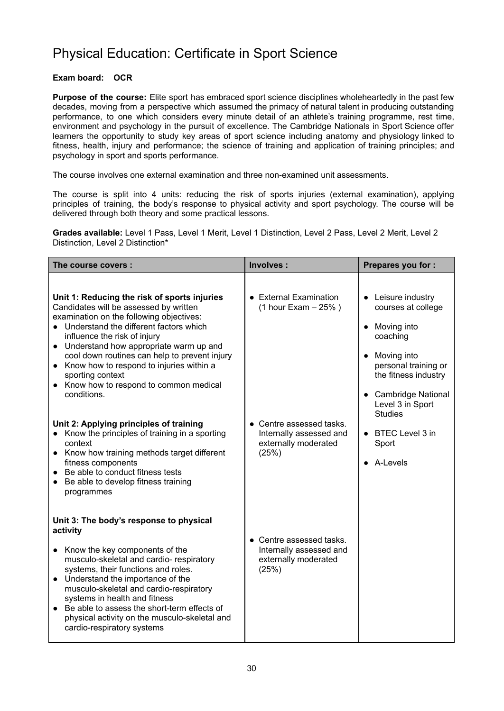### Physical Education: Certificate in Sport Science

### **Exam board: OCR**

**Purpose of the course:** Elite sport has embraced sport science disciplines wholeheartedly in the past few decades, moving from a perspective which assumed the primacy of natural talent in producing outstanding performance, to one which considers every minute detail of an athlete's training programme, rest time, environment and psychology in the pursuit of excellence. The Cambridge Nationals in Sport Science offer learners the opportunity to study key areas of sport science including anatomy and physiology linked to fitness, health, injury and performance; the science of training and application of training principles; and psychology in sport and sports performance.

The course involves one external examination and three non-examined unit assessments.

The course is split into 4 units: reducing the risk of sports injuries (external examination), applying principles of training, the body's response to physical activity and sport psychology. The course will be delivered through both theory and some practical lessons.

**Grades available:** Level 1 Pass, Level 1 Merit, Level 1 Distinction, Level 2 Pass, Level 2 Merit, Level 2 Distinction, Level 2 Distinction\*

| The course covers :                                                                                                                                                                                                                                                                                                                                                                                                                              | Involves:                                                                            | Prepares you for :                                                                                                                                                                               |
|--------------------------------------------------------------------------------------------------------------------------------------------------------------------------------------------------------------------------------------------------------------------------------------------------------------------------------------------------------------------------------------------------------------------------------------------------|--------------------------------------------------------------------------------------|--------------------------------------------------------------------------------------------------------------------------------------------------------------------------------------------------|
| Unit 1: Reducing the risk of sports injuries<br>Candidates will be assessed by written<br>examination on the following objectives:<br>• Understand the different factors which<br>influence the risk of injury<br>• Understand how appropriate warm up and<br>cool down routines can help to prevent injury<br>• Know how to respond to injuries within a<br>sporting context<br>• Know how to respond to common medical<br>conditions.          | • External Examination<br>$(1 hour Exam - 25%)$                                      | • Leisure industry<br>courses at college<br>Moving into<br>coaching<br>Moving into<br>personal training or<br>the fitness industry<br>• Cambridge National<br>Level 3 in Sport<br><b>Studies</b> |
| Unit 2: Applying principles of training<br>Know the principles of training in a sporting<br>context<br>• Know how training methods target different<br>fitness components<br>Be able to conduct fitness tests<br>Be able to develop fitness training<br>$\bullet$<br>programmes                                                                                                                                                                  | • Centre assessed tasks.<br>Internally assessed and<br>externally moderated<br>(25%) | • BTEC Level 3 in<br>Sport<br>• A-Levels                                                                                                                                                         |
| Unit 3: The body's response to physical<br>activity<br>Know the key components of the<br>$\bullet$<br>musculo-skeletal and cardio- respiratory<br>systems, their functions and roles.<br>Understand the importance of the<br>$\bullet$<br>musculo-skeletal and cardio-respiratory<br>systems in health and fitness<br>Be able to assess the short-term effects of<br>physical activity on the musculo-skeletal and<br>cardio-respiratory systems | • Centre assessed tasks.<br>Internally assessed and<br>externally moderated<br>(25%) |                                                                                                                                                                                                  |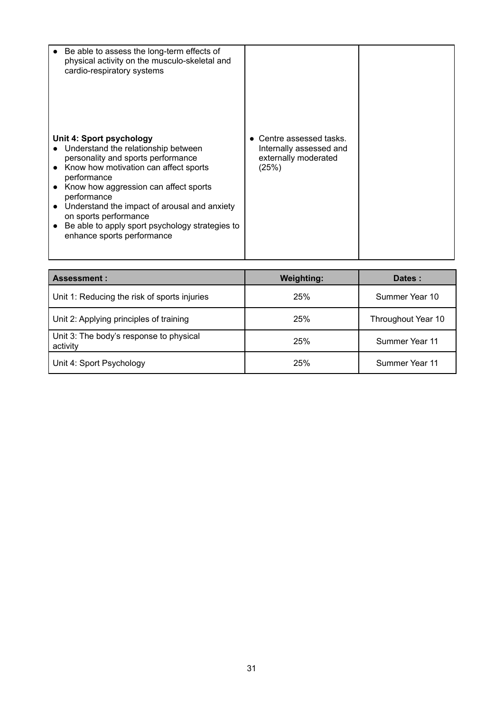| Be able to assess the long-term effects of<br>physical activity on the musculo-skeletal and<br>cardio-respiratory systems                                                                                                                                                                                                                                                       |                                                                                      |  |
|---------------------------------------------------------------------------------------------------------------------------------------------------------------------------------------------------------------------------------------------------------------------------------------------------------------------------------------------------------------------------------|--------------------------------------------------------------------------------------|--|
| Unit 4: Sport psychology<br>Understand the relationship between<br>personality and sports performance<br>Know how motivation can affect sports<br>performance<br>Know how aggression can affect sports<br>performance<br>Understand the impact of arousal and anxiety<br>on sports performance<br>Be able to apply sport psychology strategies to<br>enhance sports performance | • Centre assessed tasks.<br>Internally assessed and<br>externally moderated<br>(25%) |  |

| <b>Assessment:</b>                                  | <b>Weighting:</b> | Dates:             |
|-----------------------------------------------------|-------------------|--------------------|
| Unit 1: Reducing the risk of sports injuries        | 25%               | Summer Year 10     |
| Unit 2: Applying principles of training             | 25%               | Throughout Year 10 |
| Unit 3: The body's response to physical<br>activity | 25%               | Summer Year 11     |
| Unit 4: Sport Psychology                            | 25%               | Summer Year 11     |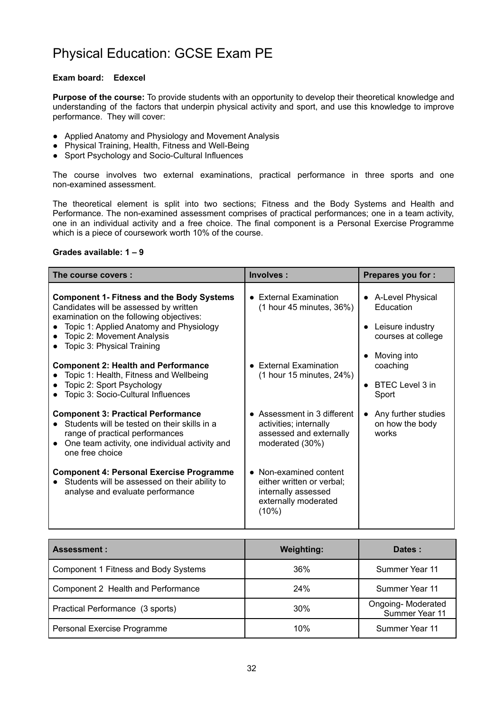## Physical Education: GCSE Exam PE

#### **Exam board: Edexcel**

**Purpose of the course:** To provide students with an opportunity to develop their theoretical knowledge and understanding of the factors that underpin physical activity and sport, and use this knowledge to improve performance. They will cover:

- Applied Anatomy and Physiology and Movement Analysis
- Physical Training, Health, Fitness and Well-Being
- Sport Psychology and Socio-Cultural Influences

The course involves two external examinations, practical performance in three sports and one non-examined assessment.

The theoretical element is split into two sections; Fitness and the Body Systems and Health and Performance. The non-examined assessment comprises of practical performances; one in a team activity, one in an individual activity and a free choice. The final component is a Personal Exercise Programme which is a piece of coursework worth 10% of the course.

#### **Grades available: 1 – 9**

| The course covers:                                                                                                                                                                                                                            | Involves:                                                                                                   | <b>Prepares you for:</b>                                                  |
|-----------------------------------------------------------------------------------------------------------------------------------------------------------------------------------------------------------------------------------------------|-------------------------------------------------------------------------------------------------------------|---------------------------------------------------------------------------|
| <b>Component 1- Fitness and the Body Systems</b><br>Candidates will be assessed by written<br>examination on the following objectives:<br>Topic 1: Applied Anatomy and Physiology<br>Topic 2: Movement Analysis<br>Topic 3: Physical Training | • External Examination<br>$(1$ hour 45 minutes, 36%)                                                        | • A-Level Physical<br>Education<br>Leisure industry<br>courses at college |
| <b>Component 2: Health and Performance</b><br>Topic 1: Health, Fitness and Wellbeing<br>Topic 2: Sport Psychology<br>Topic 3: Socio-Cultural Influences                                                                                       | • External Examination<br>$(1$ hour 15 minutes, 24%)                                                        | Moving into<br>coaching<br>BTEC Level 3 in<br>Sport                       |
| <b>Component 3: Practical Performance</b><br>Students will be tested on their skills in a<br>range of practical performances<br>• One team activity, one individual activity and<br>one free choice                                           | • Assessment in 3 different<br>activities; internally<br>assessed and externally<br>moderated (30%)         | Any further studies<br>$\bullet$<br>on how the body<br>works              |
| <b>Component 4: Personal Exercise Programme</b><br>Students will be assessed on their ability to<br>analyse and evaluate performance                                                                                                          | • Non-examined content<br>either written or verbal;<br>internally assessed<br>externally moderated<br>(10%) |                                                                           |

| <b>Assessment:</b>                   | <b>Weighting:</b> | Dates:                              |
|--------------------------------------|-------------------|-------------------------------------|
| Component 1 Fitness and Body Systems | 36%               | Summer Year 11                      |
| Component 2 Health and Performance   | 24%               | Summer Year 11                      |
| Practical Performance (3 sports)     | 30%               | Ongoing-Moderated<br>Summer Year 11 |
| Personal Exercise Programme          | 10%               | Summer Year 11                      |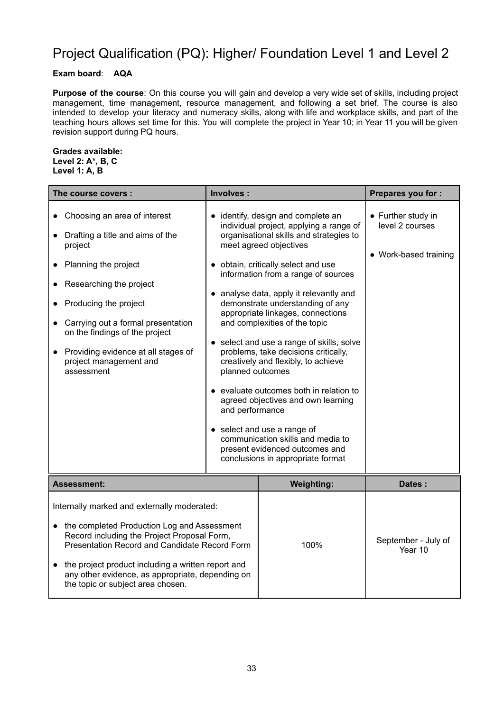## Project Qualification (PQ): Higher/ Foundation Level 1 and Level 2

### **Exam board**: **AQA**

**Purpose of the course**: On this course you will gain and develop a very wide set of skills, including project management, time management, resource management, and following a set brief. The course is also intended to develop your literacy and numeracy skills, along with life and workplace skills, and part of the teaching hours allows set time for this. You will complete the project in Year 10; in Year 11 you will be given revision support during PQ hours.

#### **Grades available: Level 2: A\*, B, C Level 1: A, B**

| The course covers :                                                                                                                                                                                                                                                                                                                       | Involves :                          |                                                                                                                                                                                                                                                                                                                                                                                                                                                                                                                                                                                                                                                                                                                                             | Prepares you for :                                             |
|-------------------------------------------------------------------------------------------------------------------------------------------------------------------------------------------------------------------------------------------------------------------------------------------------------------------------------------------|-------------------------------------|---------------------------------------------------------------------------------------------------------------------------------------------------------------------------------------------------------------------------------------------------------------------------------------------------------------------------------------------------------------------------------------------------------------------------------------------------------------------------------------------------------------------------------------------------------------------------------------------------------------------------------------------------------------------------------------------------------------------------------------------|----------------------------------------------------------------|
| Choosing an area of interest<br>Drafting a title and aims of the<br>project<br>Planning the project<br>Researching the project<br>Producing the project<br>Carrying out a formal presentation<br>on the findings of the project<br>Providing evidence at all stages of<br>project management and<br>assessment                            | planned outcomes<br>and performance | • identify, design and complete an<br>individual project, applying a range of<br>organisational skills and strategies to<br>meet agreed objectives<br>· obtain, critically select and use<br>information from a range of sources<br>• analyse data, apply it relevantly and<br>demonstrate understanding of any<br>appropriate linkages, connections<br>and complexities of the topic<br>• select and use a range of skills, solve<br>problems, take decisions critically,<br>creatively and flexibly, to achieve<br>evaluate outcomes both in relation to<br>agreed objectives and own learning<br>• select and use a range of<br>communication skills and media to<br>present evidenced outcomes and<br>conclusions in appropriate format | • Further study in<br>level 2 courses<br>• Work-based training |
| Assessment:                                                                                                                                                                                                                                                                                                                               |                                     | <b>Weighting:</b>                                                                                                                                                                                                                                                                                                                                                                                                                                                                                                                                                                                                                                                                                                                           | Dates:                                                         |
| Internally marked and externally moderated:<br>the completed Production Log and Assessment<br>Record including the Project Proposal Form,<br>Presentation Record and Candidate Record Form<br>the project product including a written report and<br>any other evidence, as appropriate, depending on<br>the topic or subject area chosen. |                                     | 100%                                                                                                                                                                                                                                                                                                                                                                                                                                                                                                                                                                                                                                                                                                                                        | September - July of<br>Year 10                                 |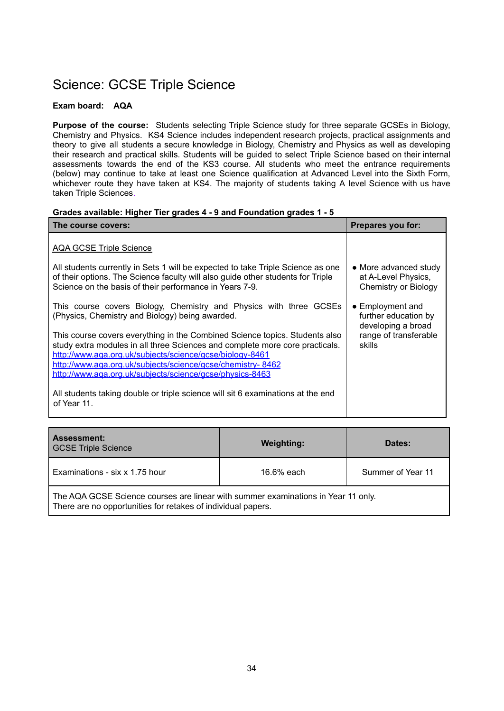## Science: GCSE Triple Science

### **Exam board: AQA**

**Purpose of the course:** Students selecting Triple Science study for three separate GCSEs in Biology, Chemistry and Physics. KS4 Science includes independent research projects, practical assignments and theory to give all students a secure knowledge in Biology, Chemistry and Physics as well as developing their research and practical skills. Students will be guided to select Triple Science based on their internal assessments towards the end of the KS3 course. All students who meet the entrance requirements (below) may continue to take at least one Science qualification at Advanced Level into the Sixth Form, whichever route they have taken at KS4. The majority of students taking A level Science with us have taken Triple Sciences.

#### **Grades available: Higher Tier grades 4 - 9 and Foundation grades 1 - 5**

| The course covers:                                                                                                                                                                                                                                                                                                                                | Prepares you for:                                                                                         |
|---------------------------------------------------------------------------------------------------------------------------------------------------------------------------------------------------------------------------------------------------------------------------------------------------------------------------------------------------|-----------------------------------------------------------------------------------------------------------|
| <b>AQA GCSE Triple Science</b>                                                                                                                                                                                                                                                                                                                    |                                                                                                           |
| All students currently in Sets 1 will be expected to take Triple Science as one<br>of their options. The Science faculty will also guide other students for Triple<br>Science on the basis of their performance in Years 7-9.                                                                                                                     | • More advanced study<br>at A-Level Physics,<br><b>Chemistry or Biology</b>                               |
| This course covers Biology, Chemistry and Physics with three GCSEs<br>(Physics, Chemistry and Biology) being awarded.                                                                                                                                                                                                                             | $\bullet$ Employment and<br>further education by<br>developing a broad<br>range of transferable<br>skills |
| This course covers everything in the Combined Science topics. Students also<br>study extra modules in all three Sciences and complete more core practicals.<br>http://www.aga.org.uk/subjects/science/gcse/biology-8461<br>http://www.aga.org.uk/subjects/science/gcse/chemistry-8462<br>http://www.aga.org.uk/subjects/science/gcse/physics-8463 |                                                                                                           |
| All students taking double or triple science will sit 6 examinations at the end<br>of Year 11.                                                                                                                                                                                                                                                    |                                                                                                           |

| <b>Assessment:</b><br><b>GCSE Triple Science</b>                                                                                                  | <b>Weighting:</b> | Dates:            |
|---------------------------------------------------------------------------------------------------------------------------------------------------|-------------------|-------------------|
| Examinations - six x 1.75 hour                                                                                                                    | 16.6% each        | Summer of Year 11 |
| The AQA GCSE Science courses are linear with summer examinations in Year 11 only.<br>There are no opportunities for retakes of individual papers. |                   |                   |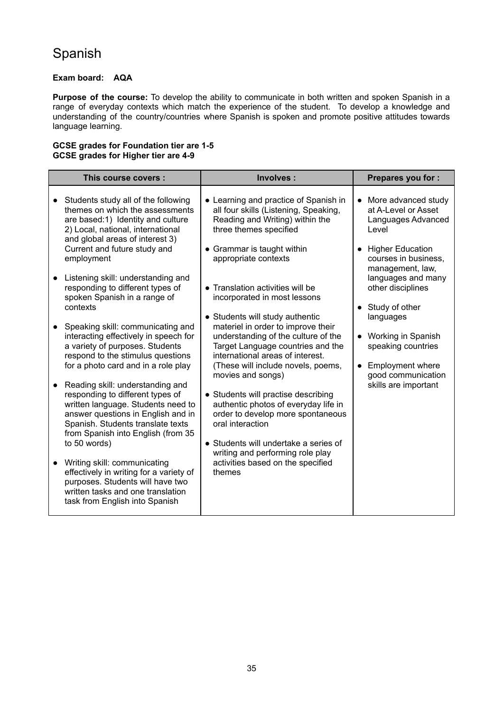# Spanish

### **Exam board: AQA**

**Purpose of the course:** To develop the ability to communicate in both written and spoken Spanish in a range of everyday contexts which match the experience of the student. To develop a knowledge and understanding of the country/countries where Spanish is spoken and promote positive attitudes towards language learning.

#### **GCSE grades for Foundation tier are 1-5 GCSE grades for Higher tier are 4-9**

|           | This course covers :                                                                                                                                                                                                        | Involves:                                                                                                                                   | Prepares you for :                                                                     |
|-----------|-----------------------------------------------------------------------------------------------------------------------------------------------------------------------------------------------------------------------------|---------------------------------------------------------------------------------------------------------------------------------------------|----------------------------------------------------------------------------------------|
| $\bullet$ | Students study all of the following<br>themes on which the assessments<br>are based:1) Identity and culture<br>2) Local, national, international<br>and global areas of interest 3)                                         | • Learning and practice of Spanish in<br>all four skills (Listening, Speaking,<br>Reading and Writing) within the<br>three themes specified | More advanced study<br>$\bullet$<br>at A-Level or Asset<br>Languages Advanced<br>Level |
|           | Current and future study and<br>employment                                                                                                                                                                                  | • Grammar is taught within<br>appropriate contexts                                                                                          | <b>Higher Education</b><br>courses in business,<br>management, law,                    |
|           | Listening skill: understanding and<br>responding to different types of<br>spoken Spanish in a range of                                                                                                                      | • Translation activities will be<br>incorporated in most lessons                                                                            | languages and many<br>other disciplines                                                |
|           | contexts<br>Speaking skill: communicating and                                                                                                                                                                               | • Students will study authentic<br>materiel in order to improve their                                                                       | • Study of other<br>languages                                                          |
|           | interacting effectively in speech for<br>a variety of purposes. Students<br>respond to the stimulus questions                                                                                                               | understanding of the culture of the<br>Target Language countries and the<br>international areas of interest.                                | • Working in Spanish<br>speaking countries                                             |
|           | for a photo card and in a role play                                                                                                                                                                                         | (These will include novels, poems,<br>movies and songs)                                                                                     | <b>Employment where</b><br>good communication                                          |
|           | Reading skill: understanding and<br>responding to different types of<br>written language. Students need to<br>answer questions in English and in<br>Spanish. Students translate texts<br>from Spanish into English (from 35 | • Students will practise describing<br>authentic photos of everyday life in<br>order to develop more spontaneous<br>oral interaction        | skills are important                                                                   |
|           | to 50 words)                                                                                                                                                                                                                | • Students will undertake a series of<br>writing and performing role play                                                                   |                                                                                        |
|           | Writing skill: communicating<br>effectively in writing for a variety of<br>purposes. Students will have two<br>written tasks and one translation<br>task from English into Spanish                                          | activities based on the specified<br>themes                                                                                                 |                                                                                        |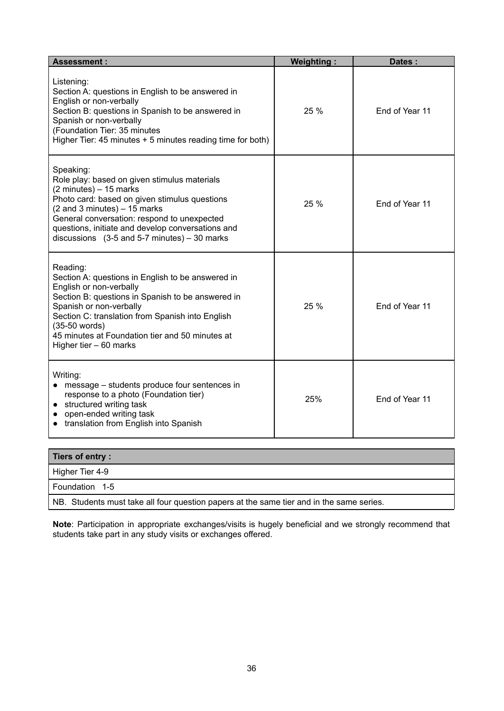| <b>Assessment:</b>                                                                                                                                                                                                                                                                                                                                                       | <b>Weighting:</b> | Dates:         |
|--------------------------------------------------------------------------------------------------------------------------------------------------------------------------------------------------------------------------------------------------------------------------------------------------------------------------------------------------------------------------|-------------------|----------------|
| Listening:<br>Section A: questions in English to be answered in<br>English or non-verbally<br>Section B: questions in Spanish to be answered in<br>Spanish or non-verbally<br>(Foundation Tier: 35 minutes<br>Higher Tier: 45 minutes + 5 minutes reading time for both)                                                                                                 | 25 %              | End of Year 11 |
| Speaking:<br>Role play: based on given stimulus materials<br>$(2 \text{ minutes}) - 15 \text{ marks}$<br>Photo card: based on given stimulus questions<br>$(2$ and 3 minutes) $-15$ marks<br>General conversation: respond to unexpected<br>questions, initiate and develop conversations and<br>discussions $(3-5 \text{ and } 5-7 \text{ minutes}) - 30 \text{ marks}$ | 25 %              | End of Year 11 |
| Reading:<br>Section A: questions in English to be answered in<br>English or non-verbally<br>Section B: questions in Spanish to be answered in<br>Spanish or non-verbally<br>Section C: translation from Spanish into English<br>(35-50 words)<br>45 minutes at Foundation tier and 50 minutes at<br>Higher tier - 60 marks                                               | 25 %              | End of Year 11 |
| Writing:<br>message - students produce four sentences in<br>response to a photo (Foundation tier)<br>structured writing task<br>open-ended writing task<br>translation from English into Spanish                                                                                                                                                                         | 25%               | End of Year 11 |

| Tiers of entry:                                                                          |
|------------------------------------------------------------------------------------------|
| Higher Tier 4-9                                                                          |
| Foundation 1-5                                                                           |
| NB. Students must take all four question papers at the same tier and in the same series. |

**Note**: Participation in appropriate exchanges/visits is hugely beneficial and we strongly recommend that students take part in any study visits or exchanges offered.